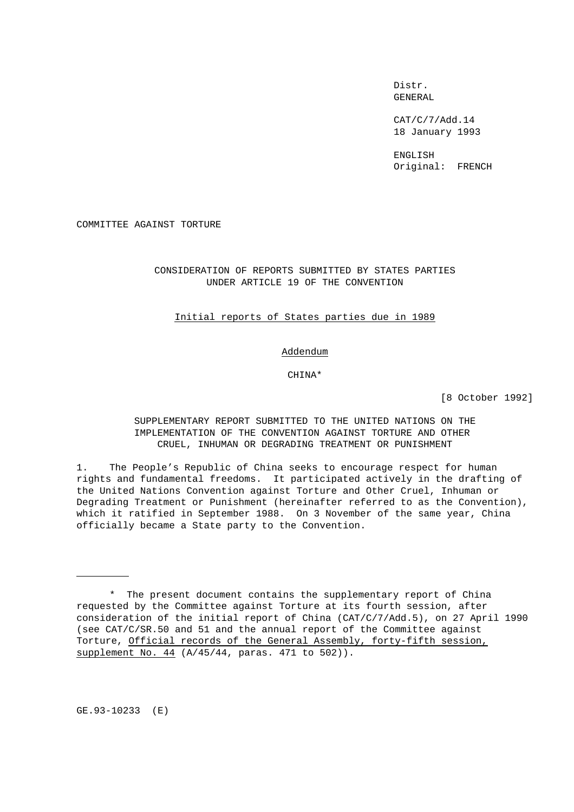Distr. GENERAL

CAT/C/7/Add.14 18 January 1993

ENGLISH Original: FRENCH

COMMITTEE AGAINST TORTURE

# CONSIDERATION OF REPORTS SUBMITTED BY STATES PARTIES UNDER ARTICLE 19 OF THE CONVENTION

### Initial reports of States parties due in 1989

# Addendum

# CHINA\*

[8 October 1992]

SUPPLEMENTARY REPORT SUBMITTED TO THE UNITED NATIONS ON THE IMPLEMENTATION OF THE CONVENTION AGAINST TORTURE AND OTHER CRUEL, INHUMAN OR DEGRADING TREATMENT OR PUNISHMENT

1. The People's Republic of China seeks to encourage respect for human rights and fundamental freedoms. It participated actively in the drafting of the United Nations Convention against Torture and Other Cruel, Inhuman or Degrading Treatment or Punishment (hereinafter referred to as the Convention), which it ratified in September 1988. On 3 November of the same year, China officially became a State party to the Convention.

GE.93-10233 (E)

<sup>\*</sup> The present document contains the supplementary report of China requested by the Committee against Torture at its fourth session, after consideration of the initial report of China (CAT/C/7/Add.5), on 27 April 1990 (see CAT/C/SR.50 and 51 and the annual report of the Committee against Torture, Official records of the General Assembly, forty-fifth session, supplement No. 44 (A/45/44, paras. 471 to 502)).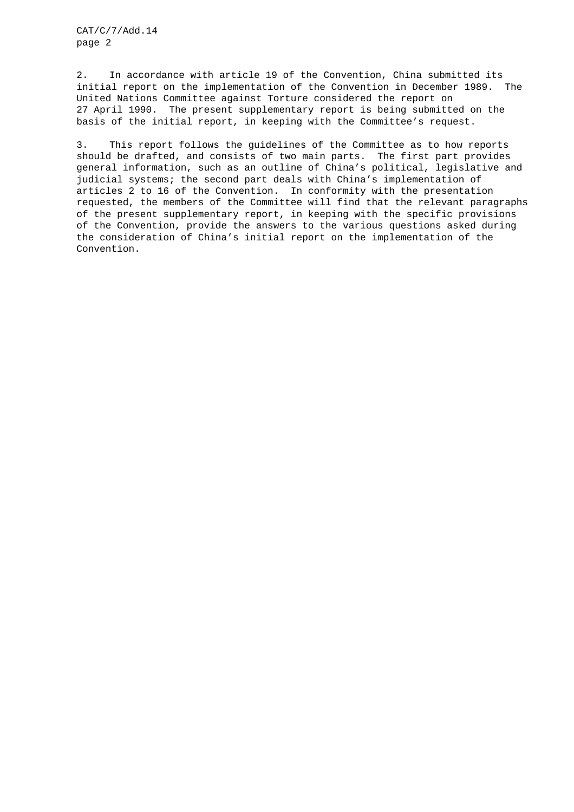2. In accordance with article 19 of the Convention, China submitted its initial report on the implementation of the Convention in December 1989. The United Nations Committee against Torture considered the report on 27 April 1990. The present supplementary report is being submitted on the basis of the initial report, in keeping with the Committee's request.

3. This report follows the guidelines of the Committee as to how reports should be drafted, and consists of two main parts. The first part provides general information, such as an outline of China's political, legislative and judicial systems; the second part deals with China's implementation of articles 2 to 16 of the Convention. In conformity with the presentation requested, the members of the Committee will find that the relevant paragraphs of the present supplementary report, in keeping with the specific provisions of the Convention, provide the answers to the various questions asked during the consideration of China's initial report on the implementation of the Convention.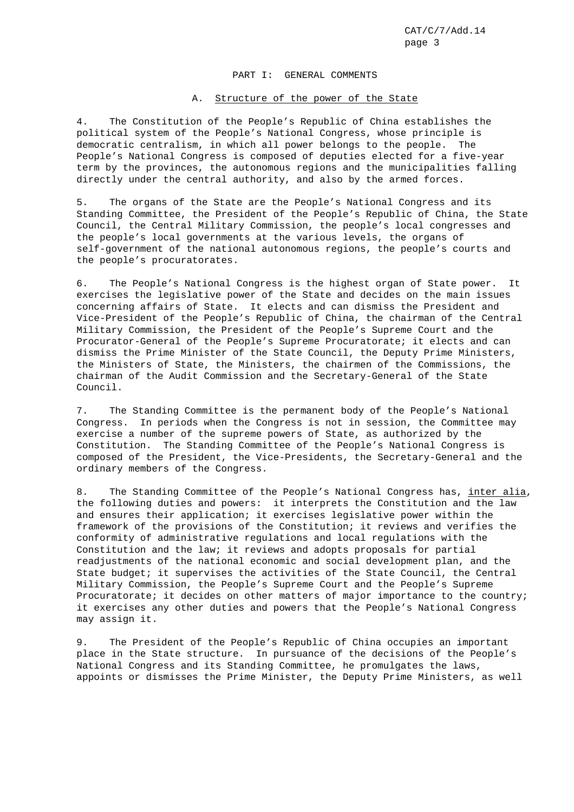## PART I: GENERAL COMMENTS

# A. Structure of the power of the State

4. The Constitution of the People's Republic of China establishes the political system of the People's National Congress, whose principle is democratic centralism, in which all power belongs to the people. The People's National Congress is composed of deputies elected for a five-year term by the provinces, the autonomous regions and the municipalities falling directly under the central authority, and also by the armed forces.

5. The organs of the State are the People's National Congress and its Standing Committee, the President of the People's Republic of China, the State Council, the Central Military Commission, the people's local congresses and the people's local governments at the various levels, the organs of self-government of the national autonomous regions, the people's courts and the people's procuratorates.

6. The People's National Congress is the highest organ of State power. It exercises the legislative power of the State and decides on the main issues concerning affairs of State. It elects and can dismiss the President and Vice-President of the People's Republic of China, the chairman of the Central Military Commission, the President of the People's Supreme Court and the Procurator-General of the People's Supreme Procuratorate; it elects and can dismiss the Prime Minister of the State Council, the Deputy Prime Ministers, the Ministers of State, the Ministers, the chairmen of the Commissions, the chairman of the Audit Commission and the Secretary-General of the State Council.

7. The Standing Committee is the permanent body of the People's National Congress. In periods when the Congress is not in session, the Committee may exercise a number of the supreme powers of State, as authorized by the Constitution. The Standing Committee of the People's National Congress is composed of the President, the Vice-Presidents, the Secretary-General and the ordinary members of the Congress.

8. The Standing Committee of the People's National Congress has, inter alia, the following duties and powers: it interprets the Constitution and the law and ensures their application; it exercises legislative power within the framework of the provisions of the Constitution; it reviews and verifies the conformity of administrative regulations and local regulations with the Constitution and the law; it reviews and adopts proposals for partial readjustments of the national economic and social development plan, and the State budget; it supervises the activities of the State Council, the Central Military Commission, the People's Supreme Court and the People's Supreme Procuratorate; it decides on other matters of major importance to the country; it exercises any other duties and powers that the People's National Congress may assign it.

9. The President of the People's Republic of China occupies an important place in the State structure. In pursuance of the decisions of the People's National Congress and its Standing Committee, he promulgates the laws, appoints or dismisses the Prime Minister, the Deputy Prime Ministers, as well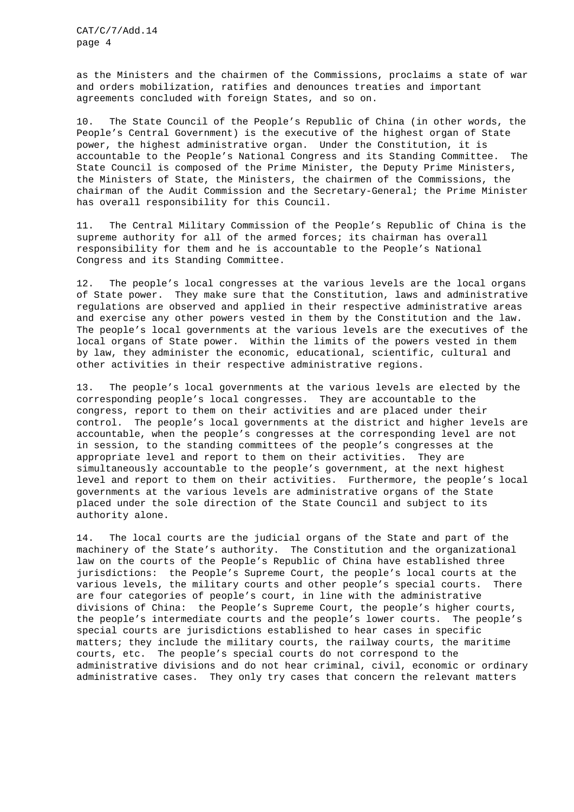as the Ministers and the chairmen of the Commissions, proclaims a state of war and orders mobilization, ratifies and denounces treaties and important agreements concluded with foreign States, and so on.

10. The State Council of the People's Republic of China (in other words, the People's Central Government) is the executive of the highest organ of State power, the highest administrative organ. Under the Constitution, it is accountable to the People's National Congress and its Standing Committee. The State Council is composed of the Prime Minister, the Deputy Prime Ministers, the Ministers of State, the Ministers, the chairmen of the Commissions, the chairman of the Audit Commission and the Secretary-General; the Prime Minister has overall responsibility for this Council.

11. The Central Military Commission of the People's Republic of China is the supreme authority for all of the armed forces; its chairman has overall responsibility for them and he is accountable to the People's National Congress and its Standing Committee.

12. The people's local congresses at the various levels are the local organs of State power. They make sure that the Constitution, laws and administrative regulations are observed and applied in their respective administrative areas and exercise any other powers vested in them by the Constitution and the law. The people's local governments at the various levels are the executives of the local organs of State power. Within the limits of the powers vested in them by law, they administer the economic, educational, scientific, cultural and other activities in their respective administrative regions.

13. The people's local governments at the various levels are elected by the corresponding people's local congresses. They are accountable to the congress, report to them on their activities and are placed under their control. The people's local governments at the district and higher levels are accountable, when the people's congresses at the corresponding level are not in session, to the standing committees of the people's congresses at the appropriate level and report to them on their activities. They are simultaneously accountable to the people's government, at the next highest level and report to them on their activities. Furthermore, the people's local governments at the various levels are administrative organs of the State placed under the sole direction of the State Council and subject to its authority alone.

14. The local courts are the judicial organs of the State and part of the machinery of the State's authority. The Constitution and the organizational law on the courts of the People's Republic of China have established three jurisdictions: the People's Supreme Court, the people's local courts at the various levels, the military courts and other people's special courts. There are four categories of people's court, in line with the administrative divisions of China: the People's Supreme Court, the people's higher courts, the people's intermediate courts and the people's lower courts. The people's special courts are jurisdictions established to hear cases in specific matters; they include the military courts, the railway courts, the maritime courts, etc. The people's special courts do not correspond to the administrative divisions and do not hear criminal, civil, economic or ordinary administrative cases. They only try cases that concern the relevant matters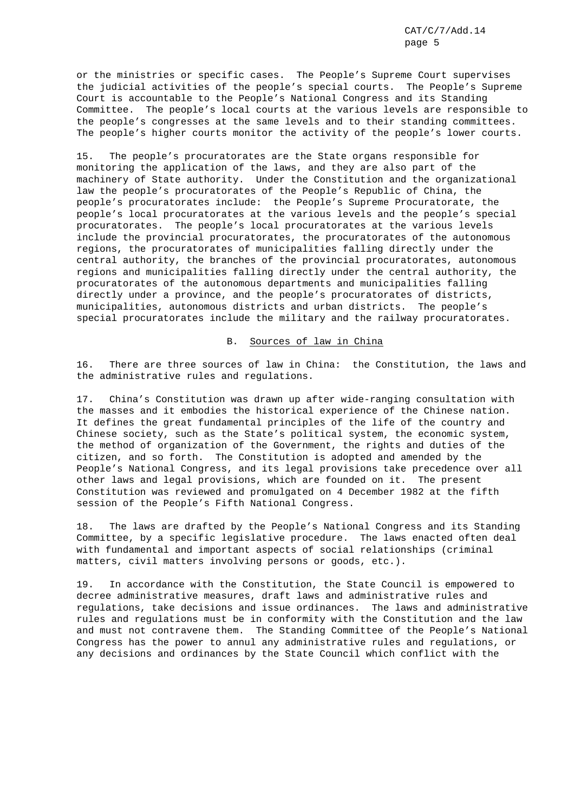or the ministries or specific cases. The People's Supreme Court supervises the judicial activities of the people's special courts. The People's Supreme Court is accountable to the People's National Congress and its Standing Committee. The people's local courts at the various levels are responsible to the people's congresses at the same levels and to their standing committees. The people's higher courts monitor the activity of the people's lower courts.

15. The people's procuratorates are the State organs responsible for monitoring the application of the laws, and they are also part of the machinery of State authority. Under the Constitution and the organizational law the people's procuratorates of the People's Republic of China, the people's procuratorates include: the People's Supreme Procuratorate, the people's local procuratorates at the various levels and the people's special procuratorates. The people's local procuratorates at the various levels include the provincial procuratorates, the procuratorates of the autonomous regions, the procuratorates of municipalities falling directly under the central authority, the branches of the provincial procuratorates, autonomous regions and municipalities falling directly under the central authority, the procuratorates of the autonomous departments and municipalities falling directly under a province, and the people's procuratorates of districts, municipalities, autonomous districts and urban districts. The people's special procuratorates include the military and the railway procuratorates.

B. Sources of law in China

16. There are three sources of law in China: the Constitution, the laws and the administrative rules and regulations.

17. China's Constitution was drawn up after wide-ranging consultation with the masses and it embodies the historical experience of the Chinese nation. It defines the great fundamental principles of the life of the country and Chinese society, such as the State's political system, the economic system, the method of organization of the Government, the rights and duties of the citizen, and so forth. The Constitution is adopted and amended by the People's National Congress, and its legal provisions take precedence over all other laws and legal provisions, which are founded on it. The present Constitution was reviewed and promulgated on 4 December 1982 at the fifth session of the People's Fifth National Congress.

18. The laws are drafted by the People's National Congress and its Standing Committee, by a specific legislative procedure. The laws enacted often deal with fundamental and important aspects of social relationships (criminal matters, civil matters involving persons or goods, etc.).

19. In accordance with the Constitution, the State Council is empowered to decree administrative measures, draft laws and administrative rules and regulations, take decisions and issue ordinances. The laws and administrative rules and regulations must be in conformity with the Constitution and the law and must not contravene them. The Standing Committee of the People's National Congress has the power to annul any administrative rules and regulations, or any decisions and ordinances by the State Council which conflict with the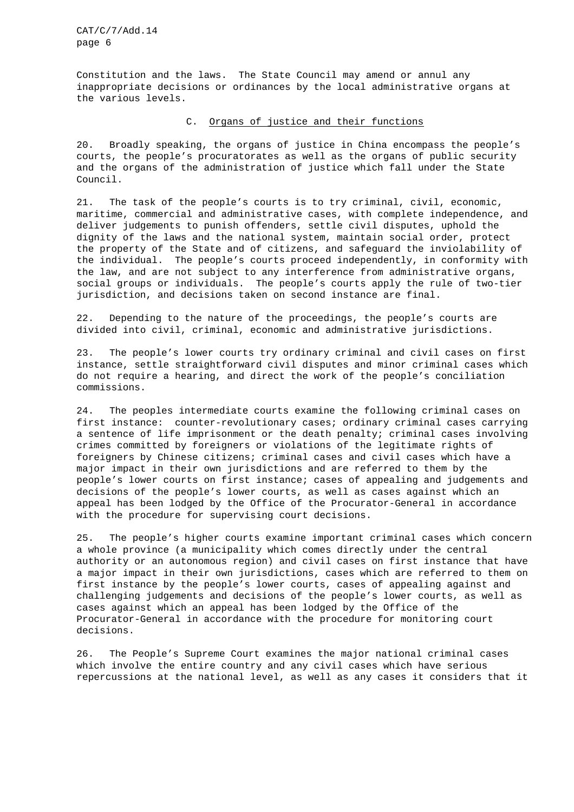Constitution and the laws. The State Council may amend or annul any inappropriate decisions or ordinances by the local administrative organs at the various levels.

# C. Organs of justice and their functions

20. Broadly speaking, the organs of justice in China encompass the people's courts, the people's procuratorates as well as the organs of public security and the organs of the administration of justice which fall under the State Council.

21. The task of the people's courts is to try criminal, civil, economic, maritime, commercial and administrative cases, with complete independence, and deliver judgements to punish offenders, settle civil disputes, uphold the dignity of the laws and the national system, maintain social order, protect the property of the State and of citizens, and safeguard the inviolability of the individual. The people's courts proceed independently, in conformity with the law, and are not subject to any interference from administrative organs, social groups or individuals. The people's courts apply the rule of two-tier jurisdiction, and decisions taken on second instance are final.

22. Depending to the nature of the proceedings, the people's courts are divided into civil, criminal, economic and administrative jurisdictions.

23. The people's lower courts try ordinary criminal and civil cases on first instance, settle straightforward civil disputes and minor criminal cases which do not require a hearing, and direct the work of the people's conciliation commissions.

24. The peoples intermediate courts examine the following criminal cases on first instance: counter-revolutionary cases; ordinary criminal cases carrying a sentence of life imprisonment or the death penalty; criminal cases involving crimes committed by foreigners or violations of the legitimate rights of foreigners by Chinese citizens; criminal cases and civil cases which have a major impact in their own jurisdictions and are referred to them by the people's lower courts on first instance; cases of appealing and judgements and decisions of the people's lower courts, as well as cases against which an appeal has been lodged by the Office of the Procurator-General in accordance with the procedure for supervising court decisions.

25. The people's higher courts examine important criminal cases which concern a whole province (a municipality which comes directly under the central authority or an autonomous region) and civil cases on first instance that have a major impact in their own jurisdictions, cases which are referred to them on first instance by the people's lower courts, cases of appealing against and challenging judgements and decisions of the people's lower courts, as well as cases against which an appeal has been lodged by the Office of the Procurator-General in accordance with the procedure for monitoring court decisions.

26. The People's Supreme Court examines the major national criminal cases which involve the entire country and any civil cases which have serious repercussions at the national level, as well as any cases it considers that it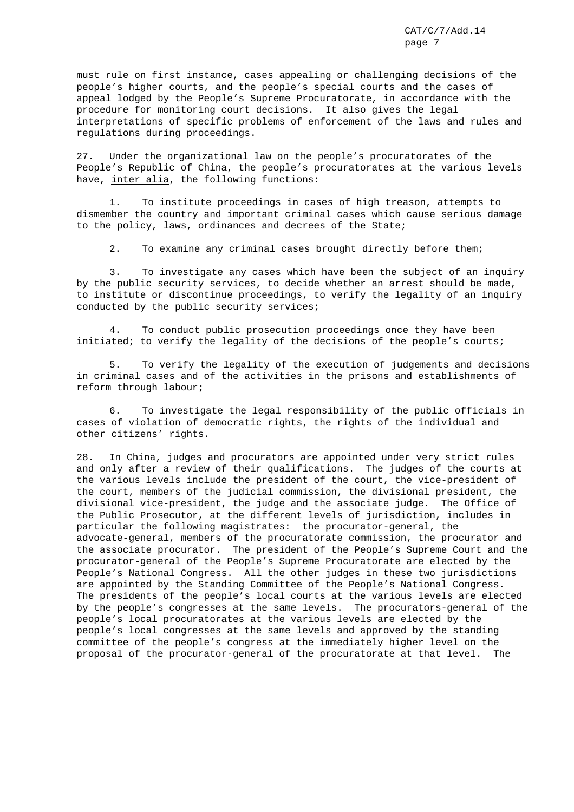must rule on first instance, cases appealing or challenging decisions of the people's higher courts, and the people's special courts and the cases of appeal lodged by the People's Supreme Procuratorate, in accordance with the procedure for monitoring court decisions. It also gives the legal interpretations of specific problems of enforcement of the laws and rules and regulations during proceedings.

27. Under the organizational law on the people's procuratorates of the People's Republic of China, the people's procuratorates at the various levels have, inter alia, the following functions:

1. To institute proceedings in cases of high treason, attempts to dismember the country and important criminal cases which cause serious damage to the policy, laws, ordinances and decrees of the State;

2. To examine any criminal cases brought directly before them;

3. To investigate any cases which have been the subject of an inquiry by the public security services, to decide whether an arrest should be made, to institute or discontinue proceedings, to verify the legality of an inquiry conducted by the public security services;

4. To conduct public prosecution proceedings once they have been initiated; to verify the legality of the decisions of the people's courts;

5. To verify the legality of the execution of judgements and decisions in criminal cases and of the activities in the prisons and establishments of reform through labour;

6. To investigate the legal responsibility of the public officials in cases of violation of democratic rights, the rights of the individual and other citizens' rights.

28. In China, judges and procurators are appointed under very strict rules and only after a review of their qualifications. The judges of the courts at the various levels include the president of the court, the vice-president of the court, members of the judicial commission, the divisional president, the divisional vice-president, the judge and the associate judge. The Office of the Public Prosecutor, at the different levels of jurisdiction, includes in particular the following magistrates: the procurator-general, the advocate-general, members of the procuratorate commission, the procurator and the associate procurator. The president of the People's Supreme Court and the procurator-general of the People's Supreme Procuratorate are elected by the People's National Congress. All the other judges in these two jurisdictions are appointed by the Standing Committee of the People's National Congress. The presidents of the people's local courts at the various levels are elected by the people's congresses at the same levels. The procurators-general of the people's local procuratorates at the various levels are elected by the people's local congresses at the same levels and approved by the standing committee of the people's congress at the immediately higher level on the proposal of the procurator-general of the procuratorate at that level. The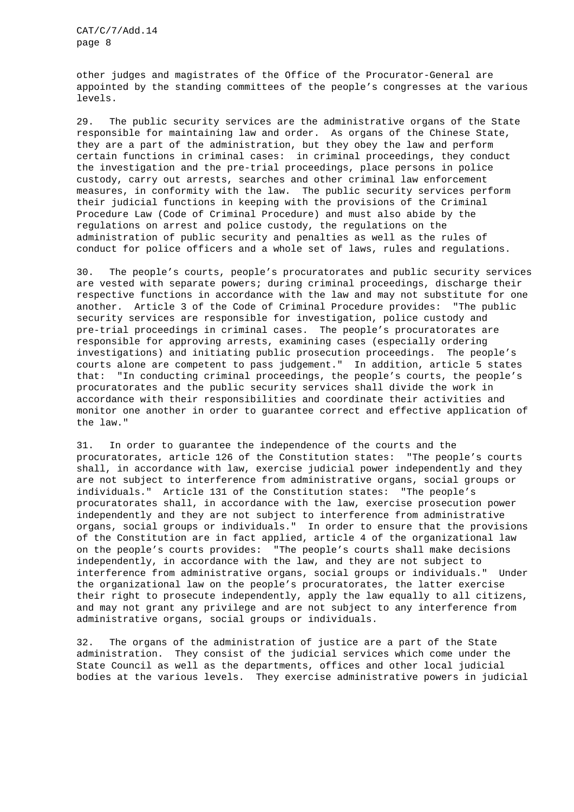other judges and magistrates of the Office of the Procurator-General are appointed by the standing committees of the people's congresses at the various levels.

29. The public security services are the administrative organs of the State responsible for maintaining law and order. As organs of the Chinese State, they are a part of the administration, but they obey the law and perform certain functions in criminal cases: in criminal proceedings, they conduct the investigation and the pre-trial proceedings, place persons in police custody, carry out arrests, searches and other criminal law enforcement measures, in conformity with the law. The public security services perform their judicial functions in keeping with the provisions of the Criminal Procedure Law (Code of Criminal Procedure) and must also abide by the regulations on arrest and police custody, the regulations on the administration of public security and penalties as well as the rules of conduct for police officers and a whole set of laws, rules and regulations.

30. The people's courts, people's procuratorates and public security services are vested with separate powers; during criminal proceedings, discharge their respective functions in accordance with the law and may not substitute for one another. Article 3 of the Code of Criminal Procedure provides: "The public security services are responsible for investigation, police custody and pre-trial proceedings in criminal cases. The people's procuratorates are responsible for approving arrests, examining cases (especially ordering investigations) and initiating public prosecution proceedings. The people's courts alone are competent to pass judgement." In addition, article 5 states that: "In conducting criminal proceedings, the people's courts, the people's procuratorates and the public security services shall divide the work in accordance with their responsibilities and coordinate their activities and monitor one another in order to guarantee correct and effective application of the law."

31. In order to guarantee the independence of the courts and the procuratorates, article 126 of the Constitution states: "The people's courts shall, in accordance with law, exercise judicial power independently and they are not subject to interference from administrative organs, social groups or individuals." Article 131 of the Constitution states: "The people's procuratorates shall, in accordance with the law, exercise prosecution power independently and they are not subject to interference from administrative organs, social groups or individuals." In order to ensure that the provisions of the Constitution are in fact applied, article 4 of the organizational law on the people's courts provides: "The people's courts shall make decisions independently, in accordance with the law, and they are not subject to interference from administrative organs, social groups or individuals." Under the organizational law on the people's procuratorates, the latter exercise their right to prosecute independently, apply the law equally to all citizens, and may not grant any privilege and are not subject to any interference from administrative organs, social groups or individuals.

32. The organs of the administration of justice are a part of the State administration. They consist of the judicial services which come under the State Council as well as the departments, offices and other local judicial bodies at the various levels. They exercise administrative powers in judicial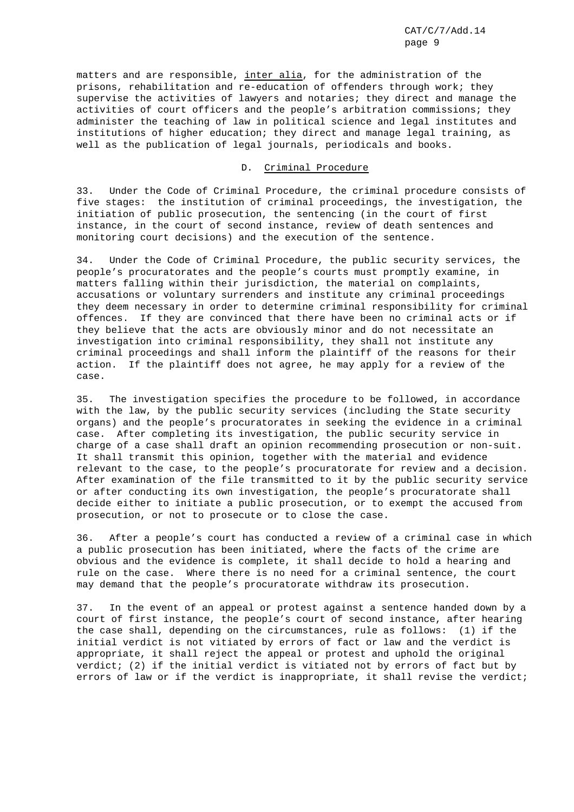matters and are responsible, inter alia, for the administration of the prisons, rehabilitation and re-education of offenders through work; they supervise the activities of lawyers and notaries; they direct and manage the activities of court officers and the people's arbitration commissions; they administer the teaching of law in political science and legal institutes and institutions of higher education; they direct and manage legal training, as well as the publication of legal journals, periodicals and books.

### D. Criminal Procedure

33. Under the Code of Criminal Procedure, the criminal procedure consists of five stages: the institution of criminal proceedings, the investigation, the initiation of public prosecution, the sentencing (in the court of first instance, in the court of second instance, review of death sentences and monitoring court decisions) and the execution of the sentence.

34. Under the Code of Criminal Procedure, the public security services, the people's procuratorates and the people's courts must promptly examine, in matters falling within their jurisdiction, the material on complaints, accusations or voluntary surrenders and institute any criminal proceedings they deem necessary in order to determine criminal responsibility for criminal offences. If they are convinced that there have been no criminal acts or if they believe that the acts are obviously minor and do not necessitate an investigation into criminal responsibility, they shall not institute any criminal proceedings and shall inform the plaintiff of the reasons for their action. If the plaintiff does not agree, he may apply for a review of the case.

35. The investigation specifies the procedure to be followed, in accordance with the law, by the public security services (including the State security organs) and the people's procuratorates in seeking the evidence in a criminal case. After completing its investigation, the public security service in charge of a case shall draft an opinion recommending prosecution or non-suit. It shall transmit this opinion, together with the material and evidence relevant to the case, to the people's procuratorate for review and a decision. After examination of the file transmitted to it by the public security service or after conducting its own investigation, the people's procuratorate shall decide either to initiate a public prosecution, or to exempt the accused from prosecution, or not to prosecute or to close the case.

36. After a people's court has conducted a review of a criminal case in which a public prosecution has been initiated, where the facts of the crime are obvious and the evidence is complete, it shall decide to hold a hearing and rule on the case. Where there is no need for a criminal sentence, the court may demand that the people's procuratorate withdraw its prosecution.

37. In the event of an appeal or protest against a sentence handed down by a court of first instance, the people's court of second instance, after hearing the case shall, depending on the circumstances, rule as follows: (1) if the initial verdict is not vitiated by errors of fact or law and the verdict is appropriate, it shall reject the appeal or protest and uphold the original verdict; (2) if the initial verdict is vitiated not by errors of fact but by errors of law or if the verdict is inappropriate, it shall revise the verdict;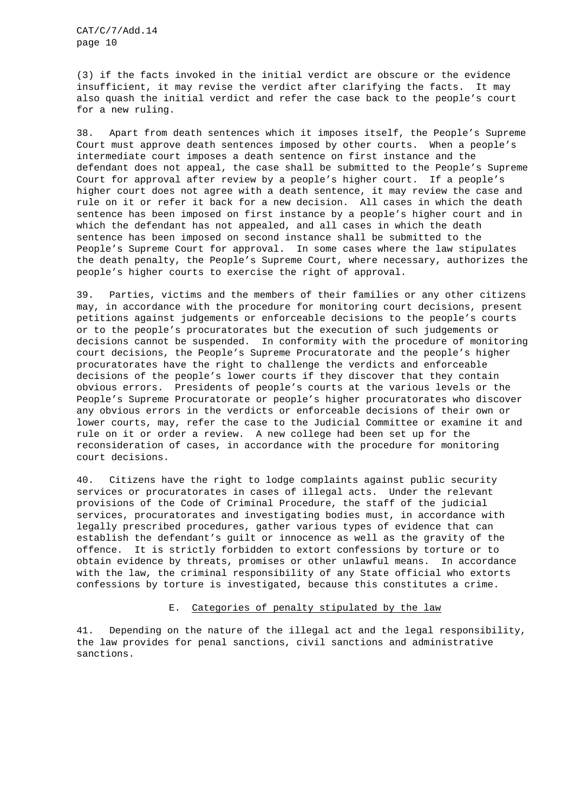(3) if the facts invoked in the initial verdict are obscure or the evidence insufficient, it may revise the verdict after clarifying the facts. It may also quash the initial verdict and refer the case back to the people's court for a new ruling.

38. Apart from death sentences which it imposes itself, the People's Supreme Court must approve death sentences imposed by other courts. When a people's intermediate court imposes a death sentence on first instance and the defendant does not appeal, the case shall be submitted to the People's Supreme Court for approval after review by a people's higher court. If a people's higher court does not agree with a death sentence, it may review the case and rule on it or refer it back for a new decision. All cases in which the death sentence has been imposed on first instance by a people's higher court and in which the defendant has not appealed, and all cases in which the death sentence has been imposed on second instance shall be submitted to the People's Supreme Court for approval. In some cases where the law stipulates the death penalty, the People's Supreme Court, where necessary, authorizes the people's higher courts to exercise the right of approval.

39. Parties, victims and the members of their families or any other citizens may, in accordance with the procedure for monitoring court decisions, present petitions against judgements or enforceable decisions to the people's courts or to the people's procuratorates but the execution of such judgements or decisions cannot be suspended. In conformity with the procedure of monitoring court decisions, the People's Supreme Procuratorate and the people's higher procuratorates have the right to challenge the verdicts and enforceable decisions of the people's lower courts if they discover that they contain obvious errors. Presidents of people's courts at the various levels or the People's Supreme Procuratorate or people's higher procuratorates who discover any obvious errors in the verdicts or enforceable decisions of their own or lower courts, may, refer the case to the Judicial Committee or examine it and rule on it or order a review. A new college had been set up for the reconsideration of cases, in accordance with the procedure for monitoring court decisions.

40. Citizens have the right to lodge complaints against public security services or procuratorates in cases of illegal acts. Under the relevant provisions of the Code of Criminal Procedure, the staff of the judicial services, procuratorates and investigating bodies must, in accordance with legally prescribed procedures, gather various types of evidence that can establish the defendant's guilt or innocence as well as the gravity of the offence. It is strictly forbidden to extort confessions by torture or to obtain evidence by threats, promises or other unlawful means. In accordance with the law, the criminal responsibility of any State official who extorts confessions by torture is investigated, because this constitutes a crime.

### E. Categories of penalty stipulated by the law

41. Depending on the nature of the illegal act and the legal responsibility, the law provides for penal sanctions, civil sanctions and administrative sanctions.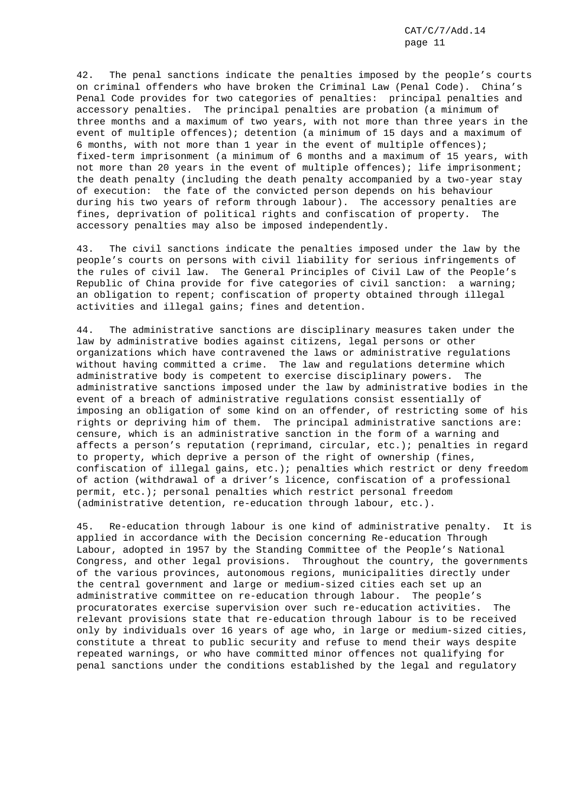42. The penal sanctions indicate the penalties imposed by the people's courts on criminal offenders who have broken the Criminal Law (Penal Code). China's Penal Code provides for two categories of penalties: principal penalties and accessory penalties. The principal penalties are probation (a minimum of three months and a maximum of two years, with not more than three years in the event of multiple offences); detention (a minimum of 15 days and a maximum of 6 months, with not more than 1 year in the event of multiple offences); fixed-term imprisonment (a minimum of 6 months and a maximum of 15 years, with not more than 20 years in the event of multiple offences); life imprisonment; the death penalty (including the death penalty accompanied by a two-year stay of execution: the fate of the convicted person depends on his behaviour during his two years of reform through labour). The accessory penalties are fines, deprivation of political rights and confiscation of property. The accessory penalties may also be imposed independently.

43. The civil sanctions indicate the penalties imposed under the law by the people's courts on persons with civil liability for serious infringements of the rules of civil law. The General Principles of Civil Law of the People's Republic of China provide for five categories of civil sanction: a warning; an obligation to repent; confiscation of property obtained through illegal activities and illegal gains; fines and detention.

44. The administrative sanctions are disciplinary measures taken under the law by administrative bodies against citizens, legal persons or other organizations which have contravened the laws or administrative regulations without having committed a crime. The law and regulations determine which administrative body is competent to exercise disciplinary powers. The administrative sanctions imposed under the law by administrative bodies in the event of a breach of administrative regulations consist essentially of imposing an obligation of some kind on an offender, of restricting some of his rights or depriving him of them. The principal administrative sanctions are: censure, which is an administrative sanction in the form of a warning and affects a person's reputation (reprimand, circular, etc.); penalties in regard to property, which deprive a person of the right of ownership (fines, confiscation of illegal gains, etc.); penalties which restrict or deny freedom of action (withdrawal of a driver's licence, confiscation of a professional permit, etc.); personal penalties which restrict personal freedom (administrative detention, re-education through labour, etc.).

45. Re-education through labour is one kind of administrative penalty. It is applied in accordance with the Decision concerning Re-education Through Labour, adopted in 1957 by the Standing Committee of the People's National Congress, and other legal provisions. Throughout the country, the governments of the various provinces, autonomous regions, municipalities directly under the central government and large or medium-sized cities each set up an administrative committee on re-education through labour. The people's procuratorates exercise supervision over such re-education activities. The relevant provisions state that re-education through labour is to be received only by individuals over 16 years of age who, in large or medium-sized cities, constitute a threat to public security and refuse to mend their ways despite repeated warnings, or who have committed minor offences not qualifying for penal sanctions under the conditions established by the legal and regulatory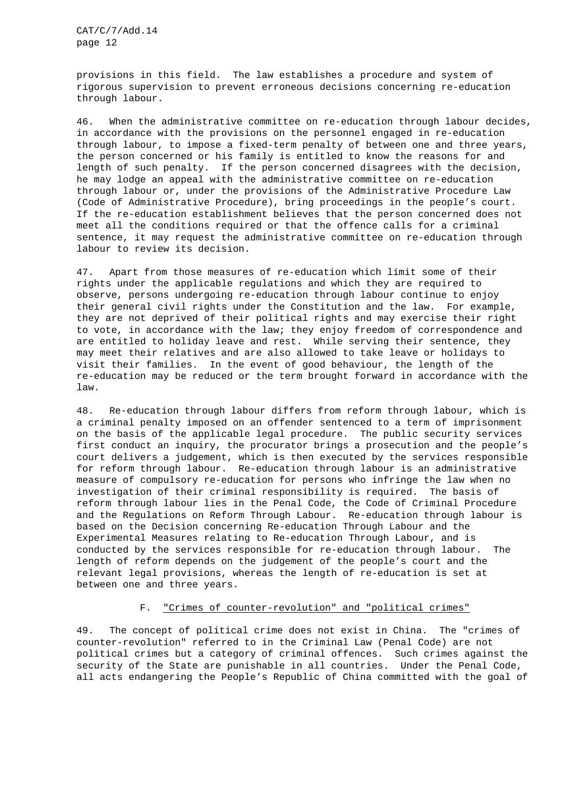provisions in this field. The law establishes a procedure and system of rigorous supervision to prevent erroneous decisions concerning re-education through labour.

46. When the administrative committee on re-education through labour decides, in accordance with the provisions on the personnel engaged in re-education through labour, to impose a fixed-term penalty of between one and three years, the person concerned or his family is entitled to know the reasons for and length of such penalty. If the person concerned disagrees with the decision, he may lodge an appeal with the administrative committee on re-education through labour or, under the provisions of the Administrative Procedure Law (Code of Administrative Procedure), bring proceedings in the people's court. If the re-education establishment believes that the person concerned does not meet all the conditions required or that the offence calls for a criminal sentence, it may request the administrative committee on re-education through labour to review its decision.

47. Apart from those measures of re-education which limit some of their rights under the applicable regulations and which they are required to observe, persons undergoing re-education through labour continue to enjoy their general civil rights under the Constitution and the law. For example, they are not deprived of their political rights and may exercise their right to vote, in accordance with the law; they enjoy freedom of correspondence and are entitled to holiday leave and rest. While serving their sentence, they may meet their relatives and are also allowed to take leave or holidays to visit their families. In the event of good behaviour, the length of the re-education may be reduced or the term brought forward in accordance with the law.

48. Re-education through labour differs from reform through labour, which is a criminal penalty imposed on an offender sentenced to a term of imprisonment on the basis of the applicable legal procedure. The public security services first conduct an inquiry, the procurator brings a prosecution and the people's court delivers a judgement, which is then executed by the services responsible for reform through labour. Re-education through labour is an administrative measure of compulsory re-education for persons who infringe the law when no investigation of their criminal responsibility is required. The basis of reform through labour lies in the Penal Code, the Code of Criminal Procedure and the Regulations on Reform Through Labour. Re-education through labour is based on the Decision concerning Re-education Through Labour and the Experimental Measures relating to Re-education Through Labour, and is conducted by the services responsible for re-education through labour. The length of reform depends on the judgement of the people's court and the relevant legal provisions, whereas the length of re-education is set at between one and three years.

# F. "Crimes of counter-revolution" and "political crimes"

49. The concept of political crime does not exist in China. The "crimes of counter-revolution" referred to in the Criminal Law (Penal Code) are not political crimes but a category of criminal offences. Such crimes against the security of the State are punishable in all countries. Under the Penal Code, all acts endangering the People's Republic of China committed with the goal of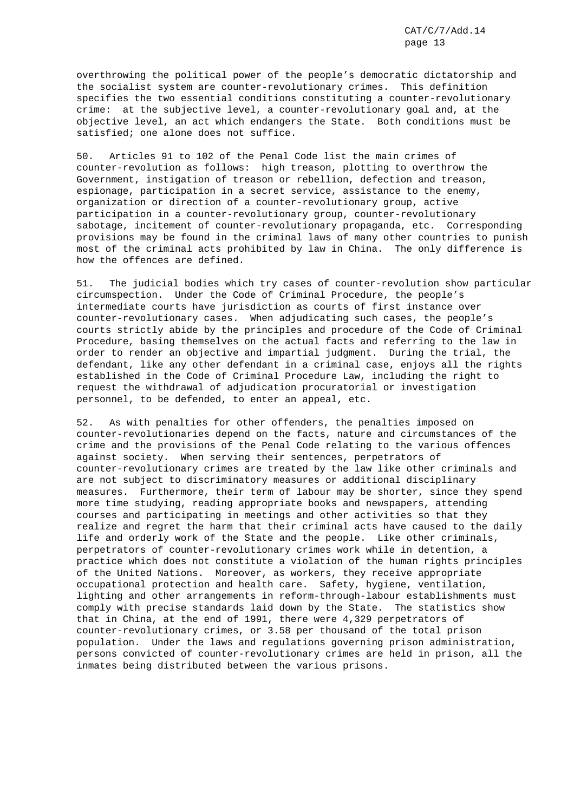overthrowing the political power of the people's democratic dictatorship and the socialist system are counter-revolutionary crimes. This definition specifies the two essential conditions constituting a counter-revolutionary crime: at the subjective level, a counter-revolutionary goal and, at the objective level, an act which endangers the State. Both conditions must be satisfied; one alone does not suffice.

50. Articles 91 to 102 of the Penal Code list the main crimes of counter-revolution as follows: high treason, plotting to overthrow the Government, instigation of treason or rebellion, defection and treason, espionage, participation in a secret service, assistance to the enemy, organization or direction of a counter-revolutionary group, active participation in a counter-revolutionary group, counter-revolutionary sabotage, incitement of counter-revolutionary propaganda, etc. Corresponding provisions may be found in the criminal laws of many other countries to punish most of the criminal acts prohibited by law in China. The only difference is how the offences are defined.

51. The judicial bodies which try cases of counter-revolution show particular circumspection. Under the Code of Criminal Procedure, the people's intermediate courts have jurisdiction as courts of first instance over counter-revolutionary cases. When adjudicating such cases, the people's courts strictly abide by the principles and procedure of the Code of Criminal Procedure, basing themselves on the actual facts and referring to the law in order to render an objective and impartial judgment. During the trial, the defendant, like any other defendant in a criminal case, enjoys all the rights established in the Code of Criminal Procedure Law, including the right to request the withdrawal of adjudication procuratorial or investigation personnel, to be defended, to enter an appeal, etc.

52. As with penalties for other offenders, the penalties imposed on counter-revolutionaries depend on the facts, nature and circumstances of the crime and the provisions of the Penal Code relating to the various offences against society. When serving their sentences, perpetrators of counter-revolutionary crimes are treated by the law like other criminals and are not subject to discriminatory measures or additional disciplinary measures. Furthermore, their term of labour may be shorter, since they spend more time studying, reading appropriate books and newspapers, attending courses and participating in meetings and other activities so that they realize and regret the harm that their criminal acts have caused to the daily life and orderly work of the State and the people. Like other criminals, perpetrators of counter-revolutionary crimes work while in detention, a practice which does not constitute a violation of the human rights principles of the United Nations. Moreover, as workers, they receive appropriate occupational protection and health care. Safety, hygiene, ventilation, lighting and other arrangements in reform-through-labour establishments must comply with precise standards laid down by the State. The statistics show that in China, at the end of 1991, there were 4,329 perpetrators of counter-revolutionary crimes, or 3.58 per thousand of the total prison population. Under the laws and regulations governing prison administration, persons convicted of counter-revolutionary crimes are held in prison, all the inmates being distributed between the various prisons.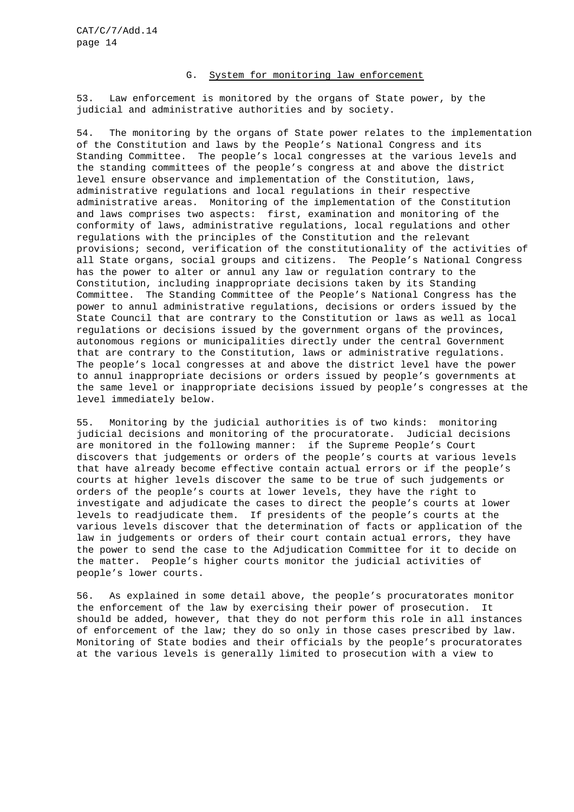# G. System for monitoring law enforcement

53. Law enforcement is monitored by the organs of State power, by the judicial and administrative authorities and by society.

54. The monitoring by the organs of State power relates to the implementation of the Constitution and laws by the People's National Congress and its Standing Committee. The people's local congresses at the various levels and the standing committees of the people's congress at and above the district level ensure observance and implementation of the Constitution, laws, administrative regulations and local regulations in their respective administrative areas. Monitoring of the implementation of the Constitution and laws comprises two aspects: first, examination and monitoring of the conformity of laws, administrative regulations, local regulations and other regulations with the principles of the Constitution and the relevant provisions; second, verification of the constitutionality of the activities of all State organs, social groups and citizens. The People's National Congress has the power to alter or annul any law or regulation contrary to the Constitution, including inappropriate decisions taken by its Standing Committee. The Standing Committee of the People's National Congress has the power to annul administrative regulations, decisions or orders issued by the State Council that are contrary to the Constitution or laws as well as local regulations or decisions issued by the government organs of the provinces, autonomous regions or municipalities directly under the central Government that are contrary to the Constitution, laws or administrative regulations. The people's local congresses at and above the district level have the power to annul inappropriate decisions or orders issued by people's governments at the same level or inappropriate decisions issued by people's congresses at the level immediately below.

55. Monitoring by the judicial authorities is of two kinds: monitoring judicial decisions and monitoring of the procuratorate. Judicial decisions are monitored in the following manner: if the Supreme People's Court discovers that judgements or orders of the people's courts at various levels that have already become effective contain actual errors or if the people's courts at higher levels discover the same to be true of such judgements or orders of the people's courts at lower levels, they have the right to investigate and adjudicate the cases to direct the people's courts at lower levels to readjudicate them. If presidents of the people's courts at the various levels discover that the determination of facts or application of the law in judgements or orders of their court contain actual errors, they have the power to send the case to the Adjudication Committee for it to decide on the matter. People's higher courts monitor the judicial activities of people's lower courts.

56. As explained in some detail above, the people's procuratorates monitor the enforcement of the law by exercising their power of prosecution. It should be added, however, that they do not perform this role in all instances of enforcement of the law; they do so only in those cases prescribed by law. Monitoring of State bodies and their officials by the people's procuratorates at the various levels is generally limited to prosecution with a view to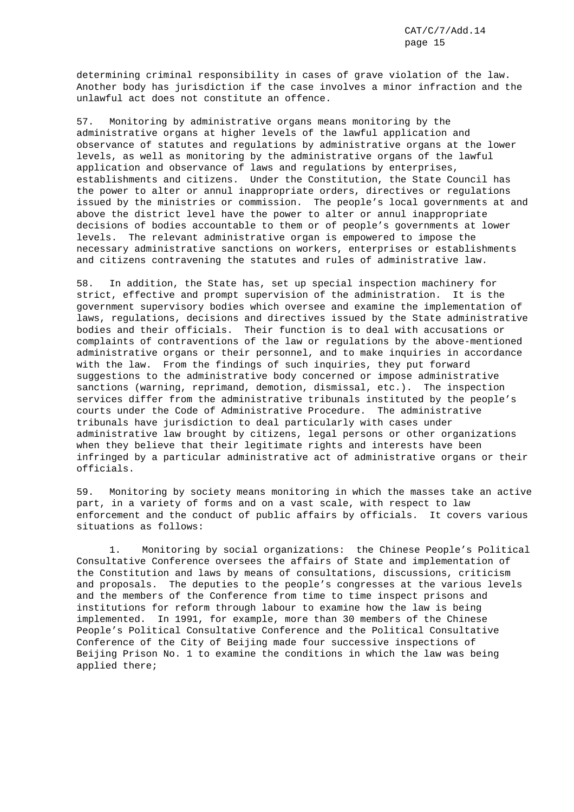determining criminal responsibility in cases of grave violation of the law. Another body has jurisdiction if the case involves a minor infraction and the unlawful act does not constitute an offence.

57. Monitoring by administrative organs means monitoring by the administrative organs at higher levels of the lawful application and observance of statutes and regulations by administrative organs at the lower levels, as well as monitoring by the administrative organs of the lawful application and observance of laws and regulations by enterprises, establishments and citizens. Under the Constitution, the State Council has the power to alter or annul inappropriate orders, directives or regulations issued by the ministries or commission. The people's local governments at and above the district level have the power to alter or annul inappropriate decisions of bodies accountable to them or of people's governments at lower levels. The relevant administrative organ is empowered to impose the necessary administrative sanctions on workers, enterprises or establishments and citizens contravening the statutes and rules of administrative law.

58. In addition, the State has, set up special inspection machinery for strict, effective and prompt supervision of the administration. It is the government supervisory bodies which oversee and examine the implementation of laws, regulations, decisions and directives issued by the State administrative bodies and their officials. Their function is to deal with accusations or complaints of contraventions of the law or regulations by the above-mentioned administrative organs or their personnel, and to make inquiries in accordance with the law. From the findings of such inquiries, they put forward suggestions to the administrative body concerned or impose administrative sanctions (warning, reprimand, demotion, dismissal, etc.). The inspection services differ from the administrative tribunals instituted by the people's courts under the Code of Administrative Procedure. The administrative tribunals have jurisdiction to deal particularly with cases under administrative law brought by citizens, legal persons or other organizations when they believe that their legitimate rights and interests have been infringed by a particular administrative act of administrative organs or their officials.

59. Monitoring by society means monitoring in which the masses take an active part, in a variety of forms and on a vast scale, with respect to law enforcement and the conduct of public affairs by officials. It covers various situations as follows:

1. Monitoring by social organizations: the Chinese People's Political Consultative Conference oversees the affairs of State and implementation of the Constitution and laws by means of consultations, discussions, criticism and proposals. The deputies to the people's congresses at the various levels and the members of the Conference from time to time inspect prisons and institutions for reform through labour to examine how the law is being implemented. In 1991, for example, more than 30 members of the Chinese People's Political Consultative Conference and the Political Consultative Conference of the City of Beijing made four successive inspections of Beijing Prison No. 1 to examine the conditions in which the law was being applied there;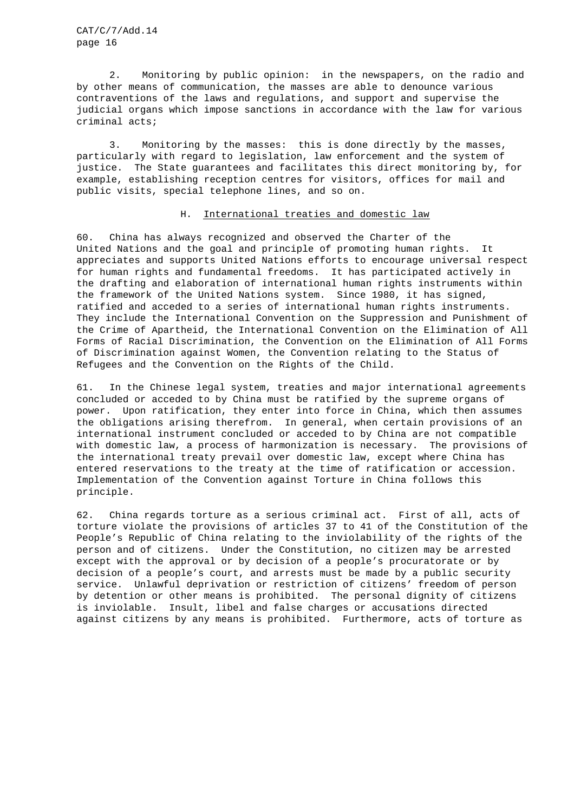2. Monitoring by public opinion: in the newspapers, on the radio and by other means of communication, the masses are able to denounce various contraventions of the laws and regulations, and support and supervise the judicial organs which impose sanctions in accordance with the law for various criminal acts;

3. Monitoring by the masses: this is done directly by the masses, particularly with regard to legislation, law enforcement and the system of justice. The State guarantees and facilitates this direct monitoring by, for example, establishing reception centres for visitors, offices for mail and public visits, special telephone lines, and so on.

### H. International treaties and domestic law

60. China has always recognized and observed the Charter of the United Nations and the goal and principle of promoting human rights. It appreciates and supports United Nations efforts to encourage universal respect for human rights and fundamental freedoms. It has participated actively in the drafting and elaboration of international human rights instruments within the framework of the United Nations system. Since 1980, it has signed, ratified and acceded to a series of international human rights instruments. They include the International Convention on the Suppression and Punishment of the Crime of Apartheid, the International Convention on the Elimination of All Forms of Racial Discrimination, the Convention on the Elimination of All Forms of Discrimination against Women, the Convention relating to the Status of Refugees and the Convention on the Rights of the Child.

61. In the Chinese legal system, treaties and major international agreements concluded or acceded to by China must be ratified by the supreme organs of power. Upon ratification, they enter into force in China, which then assumes the obligations arising therefrom. In general, when certain provisions of an international instrument concluded or acceded to by China are not compatible with domestic law, a process of harmonization is necessary. The provisions of the international treaty prevail over domestic law, except where China has entered reservations to the treaty at the time of ratification or accession. Implementation of the Convention against Torture in China follows this principle.

62. China regards torture as a serious criminal act. First of all, acts of torture violate the provisions of articles 37 to 41 of the Constitution of the People's Republic of China relating to the inviolability of the rights of the person and of citizens. Under the Constitution, no citizen may be arrested except with the approval or by decision of a people's procuratorate or by decision of a people's court, and arrests must be made by a public security service. Unlawful deprivation or restriction of citizens' freedom of person by detention or other means is prohibited. The personal dignity of citizens is inviolable. Insult, libel and false charges or accusations directed against citizens by any means is prohibited. Furthermore, acts of torture as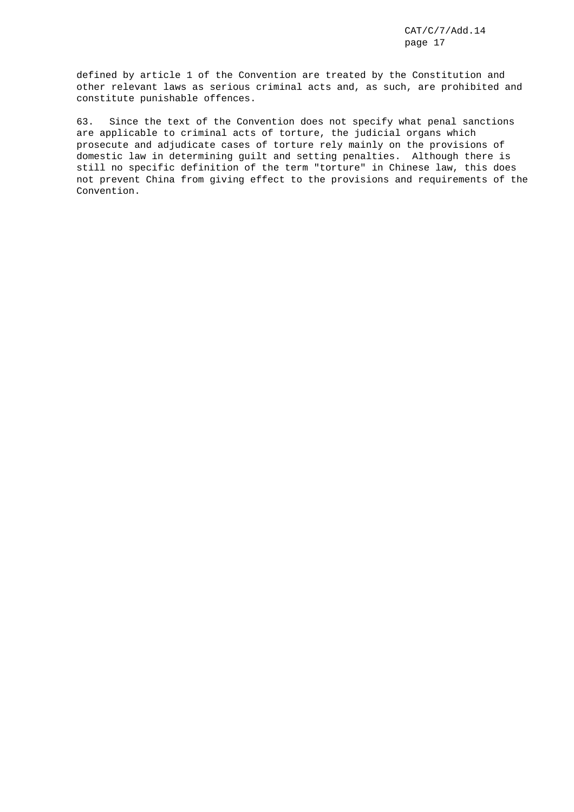defined by article 1 of the Convention are treated by the Constitution and other relevant laws as serious criminal acts and, as such, are prohibited and constitute punishable offences.

63. Since the text of the Convention does not specify what penal sanctions are applicable to criminal acts of torture, the judicial organs which prosecute and adjudicate cases of torture rely mainly on the provisions of domestic law in determining guilt and setting penalties. Although there is still no specific definition of the term "torture" in Chinese law, this does not prevent China from giving effect to the provisions and requirements of the Convention.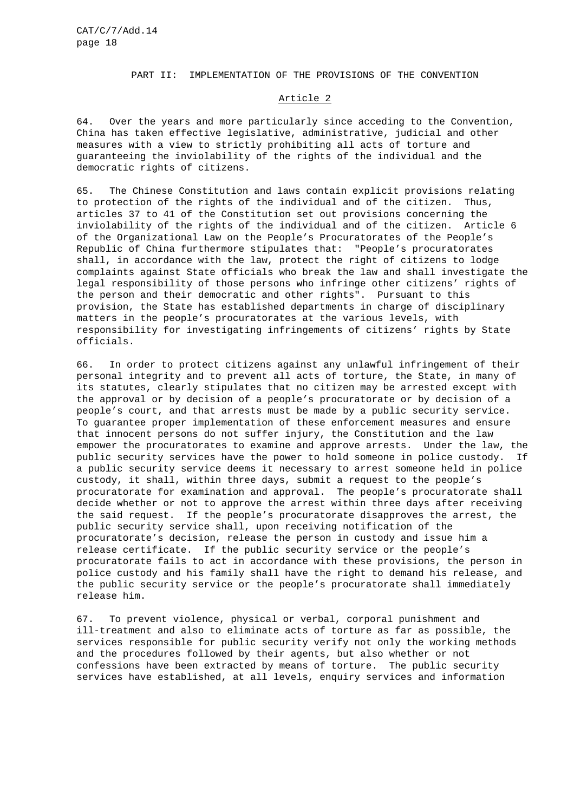### PART II: IMPLEMENTATION OF THE PROVISIONS OF THE CONVENTION

### Article 2

64. Over the years and more particularly since acceding to the Convention, China has taken effective legislative, administrative, judicial and other measures with a view to strictly prohibiting all acts of torture and guaranteeing the inviolability of the rights of the individual and the democratic rights of citizens.

65. The Chinese Constitution and laws contain explicit provisions relating to protection of the rights of the individual and of the citizen. Thus, articles 37 to 41 of the Constitution set out provisions concerning the inviolability of the rights of the individual and of the citizen. Article 6 of the Organizational Law on the People's Procuratorates of the People's Republic of China furthermore stipulates that: "People's procuratorates shall, in accordance with the law, protect the right of citizens to lodge complaints against State officials who break the law and shall investigate the legal responsibility of those persons who infringe other citizens' rights of the person and their democratic and other rights". Pursuant to this provision, the State has established departments in charge of disciplinary matters in the people's procuratorates at the various levels, with responsibility for investigating infringements of citizens' rights by State officials.

66. In order to protect citizens against any unlawful infringement of their personal integrity and to prevent all acts of torture, the State, in many of its statutes, clearly stipulates that no citizen may be arrested except with the approval or by decision of a people's procuratorate or by decision of a people's court, and that arrests must be made by a public security service. To guarantee proper implementation of these enforcement measures and ensure that innocent persons do not suffer injury, the Constitution and the law empower the procuratorates to examine and approve arrests. Under the law, the public security services have the power to hold someone in police custody. If a public security service deems it necessary to arrest someone held in police custody, it shall, within three days, submit a request to the people's procuratorate for examination and approval. The people's procuratorate shall decide whether or not to approve the arrest within three days after receiving the said request. If the people's procuratorate disapproves the arrest, the public security service shall, upon receiving notification of the procuratorate's decision, release the person in custody and issue him a release certificate. If the public security service or the people's procuratorate fails to act in accordance with these provisions, the person in police custody and his family shall have the right to demand his release, and the public security service or the people's procuratorate shall immediately release him.

67. To prevent violence, physical or verbal, corporal punishment and ill-treatment and also to eliminate acts of torture as far as possible, the services responsible for public security verify not only the working methods and the procedures followed by their agents, but also whether or not confessions have been extracted by means of torture. The public security services have established, at all levels, enquiry services and information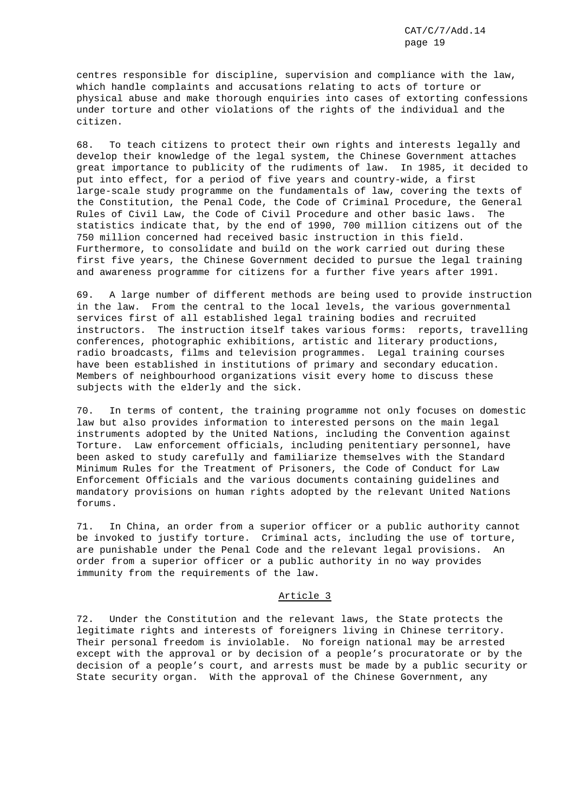centres responsible for discipline, supervision and compliance with the law, which handle complaints and accusations relating to acts of torture or physical abuse and make thorough enquiries into cases of extorting confessions under torture and other violations of the rights of the individual and the citizen.

68. To teach citizens to protect their own rights and interests legally and develop their knowledge of the legal system, the Chinese Government attaches great importance to publicity of the rudiments of law. In 1985, it decided to put into effect, for a period of five years and country-wide, a first large-scale study programme on the fundamentals of law, covering the texts of the Constitution, the Penal Code, the Code of Criminal Procedure, the General Rules of Civil Law, the Code of Civil Procedure and other basic laws. The statistics indicate that, by the end of 1990, 700 million citizens out of the 750 million concerned had received basic instruction in this field. Furthermore, to consolidate and build on the work carried out during these first five years, the Chinese Government decided to pursue the legal training and awareness programme for citizens for a further five years after 1991.

69. A large number of different methods are being used to provide instruction in the law. From the central to the local levels, the various governmental services first of all established legal training bodies and recruited instructors. The instruction itself takes various forms: reports, travelling conferences, photographic exhibitions, artistic and literary productions, radio broadcasts, films and television programmes. Legal training courses have been established in institutions of primary and secondary education. Members of neighbourhood organizations visit every home to discuss these subjects with the elderly and the sick.

70. In terms of content, the training programme not only focuses on domestic law but also provides information to interested persons on the main legal instruments adopted by the United Nations, including the Convention against Torture. Law enforcement officials, including penitentiary personnel, have been asked to study carefully and familiarize themselves with the Standard Minimum Rules for the Treatment of Prisoners, the Code of Conduct for Law Enforcement Officials and the various documents containing guidelines and mandatory provisions on human rights adopted by the relevant United Nations forums.

71. In China, an order from a superior officer or a public authority cannot be invoked to justify torture. Criminal acts, including the use of torture, are punishable under the Penal Code and the relevant legal provisions. An order from a superior officer or a public authority in no way provides immunity from the requirements of the law.

## Article 3

72. Under the Constitution and the relevant laws, the State protects the legitimate rights and interests of foreigners living in Chinese territory. Their personal freedom is inviolable. No foreign national may be arrested except with the approval or by decision of a people's procuratorate or by the decision of a people's court, and arrests must be made by a public security or State security organ. With the approval of the Chinese Government, any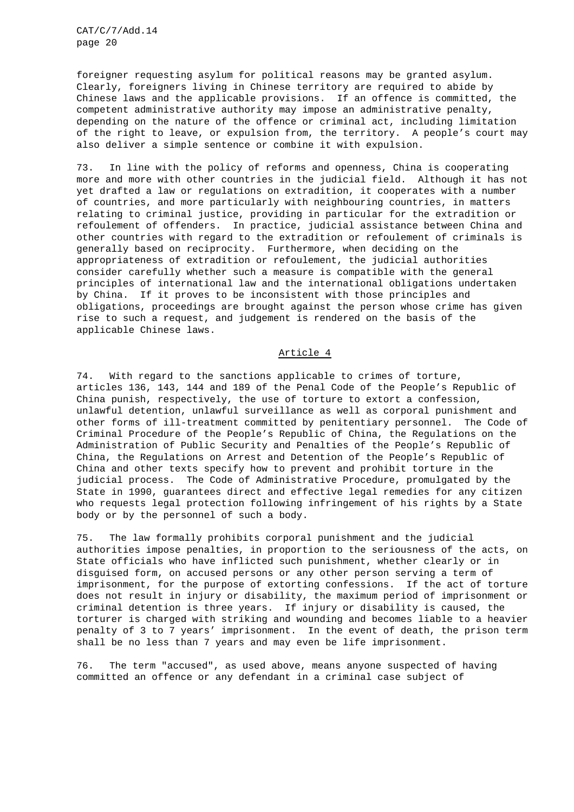foreigner requesting asylum for political reasons may be granted asylum. Clearly, foreigners living in Chinese territory are required to abide by Chinese laws and the applicable provisions. If an offence is committed, the competent administrative authority may impose an administrative penalty, depending on the nature of the offence or criminal act, including limitation of the right to leave, or expulsion from, the territory. A people's court may also deliver a simple sentence or combine it with expulsion.

73. In line with the policy of reforms and openness, China is cooperating more and more with other countries in the judicial field. Although it has not yet drafted a law or regulations on extradition, it cooperates with a number of countries, and more particularly with neighbouring countries, in matters relating to criminal justice, providing in particular for the extradition or refoulement of offenders. In practice, judicial assistance between China and other countries with regard to the extradition or refoulement of criminals is generally based on reciprocity. Furthermore, when deciding on the appropriateness of extradition or refoulement, the judicial authorities consider carefully whether such a measure is compatible with the general principles of international law and the international obligations undertaken by China. If it proves to be inconsistent with those principles and obligations, proceedings are brought against the person whose crime has given rise to such a request, and judgement is rendered on the basis of the applicable Chinese laws.

# Article 4

74. With regard to the sanctions applicable to crimes of torture, articles 136, 143, 144 and 189 of the Penal Code of the People's Republic of China punish, respectively, the use of torture to extort a confession, unlawful detention, unlawful surveillance as well as corporal punishment and other forms of ill-treatment committed by penitentiary personnel. The Code of Criminal Procedure of the People's Republic of China, the Regulations on the Administration of Public Security and Penalties of the People's Republic of China, the Regulations on Arrest and Detention of the People's Republic of China and other texts specify how to prevent and prohibit torture in the judicial process. The Code of Administrative Procedure, promulgated by the State in 1990, guarantees direct and effective legal remedies for any citizen who requests legal protection following infringement of his rights by a State body or by the personnel of such a body.

75. The law formally prohibits corporal punishment and the judicial authorities impose penalties, in proportion to the seriousness of the acts, on State officials who have inflicted such punishment, whether clearly or in disguised form, on accused persons or any other person serving a term of imprisonment, for the purpose of extorting confessions. If the act of torture does not result in injury or disability, the maximum period of imprisonment or criminal detention is three years. If injury or disability is caused, the torturer is charged with striking and wounding and becomes liable to a heavier penalty of 3 to 7 years' imprisonment. In the event of death, the prison term shall be no less than 7 years and may even be life imprisonment.

76. The term "accused", as used above, means anyone suspected of having committed an offence or any defendant in a criminal case subject of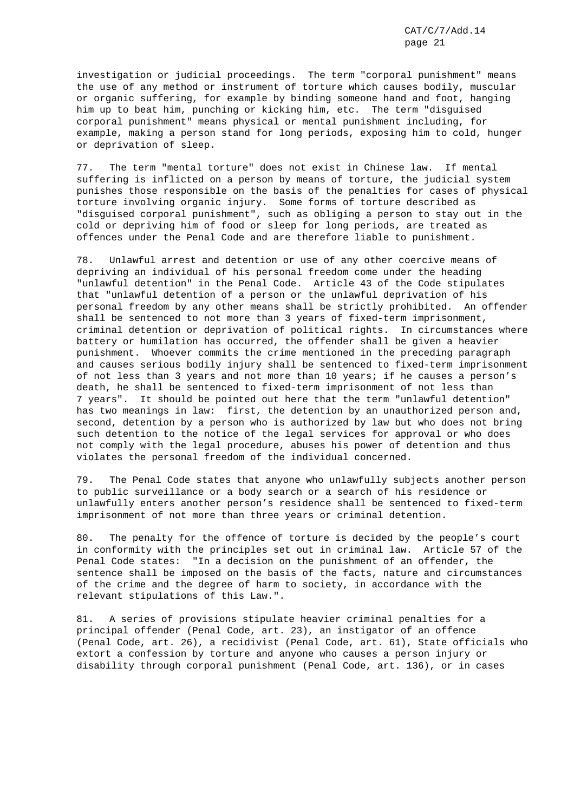investigation or judicial proceedings. The term "corporal punishment" means the use of any method or instrument of torture which causes bodily, muscular or organic suffering, for example by binding someone hand and foot, hanging him up to beat him, punching or kicking him, etc. The term "disguised corporal punishment" means physical or mental punishment including, for example, making a person stand for long periods, exposing him to cold, hunger or deprivation of sleep.

77. The term "mental torture" does not exist in Chinese law. If mental suffering is inflicted on a person by means of torture, the judicial system punishes those responsible on the basis of the penalties for cases of physical torture involving organic injury. Some forms of torture described as "disguised corporal punishment", such as obliging a person to stay out in the cold or depriving him of food or sleep for long periods, are treated as offences under the Penal Code and are therefore liable to punishment.

78. Unlawful arrest and detention or use of any other coercive means of depriving an individual of his personal freedom come under the heading "unlawful detention" in the Penal Code. Article 43 of the Code stipulates that "unlawful detention of a person or the unlawful deprivation of his personal freedom by any other means shall be strictly prohibited. An offender shall be sentenced to not more than 3 years of fixed-term imprisonment, criminal detention or deprivation of political rights. In circumstances where battery or humilation has occurred, the offender shall be given a heavier punishment. Whoever commits the crime mentioned in the preceding paragraph and causes serious bodily injury shall be sentenced to fixed-term imprisonment of not less than 3 years and not more than 10 years; if he causes a person's death, he shall be sentenced to fixed-term imprisonment of not less than 7 years". It should be pointed out here that the term "unlawful detention" has two meanings in law: first, the detention by an unauthorized person and, second, detention by a person who is authorized by law but who does not bring such detention to the notice of the legal services for approval or who does not comply with the legal procedure, abuses his power of detention and thus violates the personal freedom of the individual concerned.

79. The Penal Code states that anyone who unlawfully subjects another person to public surveillance or a body search or a search of his residence or unlawfully enters another person's residence shall be sentenced to fixed-term imprisonment of not more than three years or criminal detention.

80. The penalty for the offence of torture is decided by the people's court in conformity with the principles set out in criminal law. Article 57 of the Penal Code states: "In a decision on the punishment of an offender, the sentence shall be imposed on the basis of the facts, nature and circumstances of the crime and the degree of harm to society, in accordance with the relevant stipulations of this Law.".

81. A series of provisions stipulate heavier criminal penalties for a principal offender (Penal Code, art. 23), an instigator of an offence (Penal Code, art. 26), a recidivist (Penal Code, art. 61), State officials who extort a confession by torture and anyone who causes a person injury or disability through corporal punishment (Penal Code, art. 136), or in cases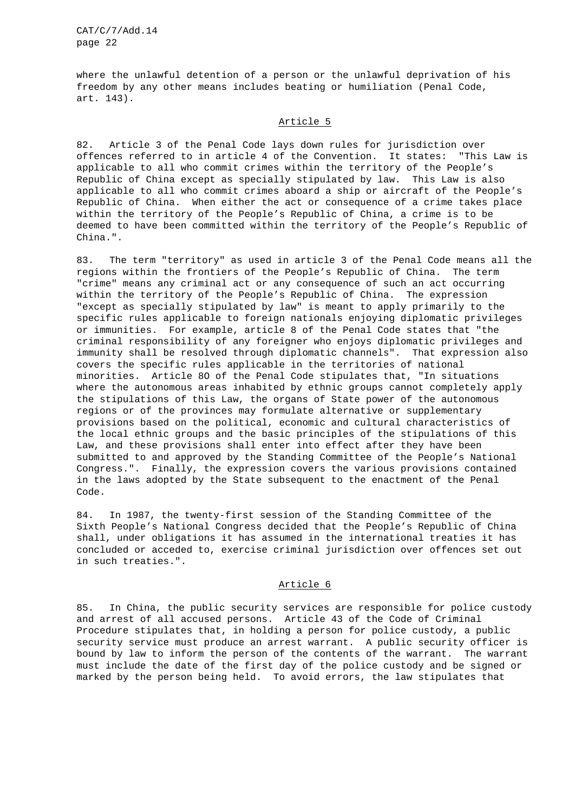where the unlawful detention of a person or the unlawful deprivation of his freedom by any other means includes beating or humiliation (Penal Code, art. 143).

### Article 5

82. Article 3 of the Penal Code lays down rules for jurisdiction over offences referred to in article 4 of the Convention. It states: "This Law is applicable to all who commit crimes within the territory of the People's Republic of China except as specially stipulated by law. This Law is also applicable to all who commit crimes aboard a ship or aircraft of the People's Republic of China. When either the act or consequence of a crime takes place within the territory of the People's Republic of China, a crime is to be deemed to have been committed within the territory of the People's Republic of China.".

83. The term "territory" as used in article 3 of the Penal Code means all the regions within the frontiers of the People's Republic of China. The term "crime" means any criminal act or any consequence of such an act occurring within the territory of the People's Republic of China. The expression "except as specially stipulated by law" is meant to apply primarily to the specific rules applicable to foreign nationals enjoying diplomatic privileges or immunities. For example, article 8 of the Penal Code states that "the criminal responsibility of any foreigner who enjoys diplomatic privileges and immunity shall be resolved through diplomatic channels". That expression also covers the specific rules applicable in the territories of national minorities. Article 8O of the Penal Code stipulates that, "In situations where the autonomous areas inhabited by ethnic groups cannot completely apply the stipulations of this Law, the organs of State power of the autonomous regions or of the provinces may formulate alternative or supplementary provisions based on the political, economic and cultural characteristics of the local ethnic groups and the basic principles of the stipulations of this Law, and these provisions shall enter into effect after they have been submitted to and approved by the Standing Committee of the People's National Congress.". Finally, the expression covers the various provisions contained in the laws adopted by the State subsequent to the enactment of the Penal Code.

84. In 1987, the twenty-first session of the Standing Committee of the Sixth People's National Congress decided that the People's Republic of China shall, under obligations it has assumed in the international treaties it has concluded or acceded to, exercise criminal jurisdiction over offences set out in such treaties.".

### Article 6

85. In China, the public security services are responsible for police custody and arrest of all accused persons. Article 43 of the Code of Criminal Procedure stipulates that, in holding a person for police custody, a public security service must produce an arrest warrant. A public security officer is bound by law to inform the person of the contents of the warrant. The warrant must include the date of the first day of the police custody and be signed or marked by the person being held. To avoid errors, the law stipulates that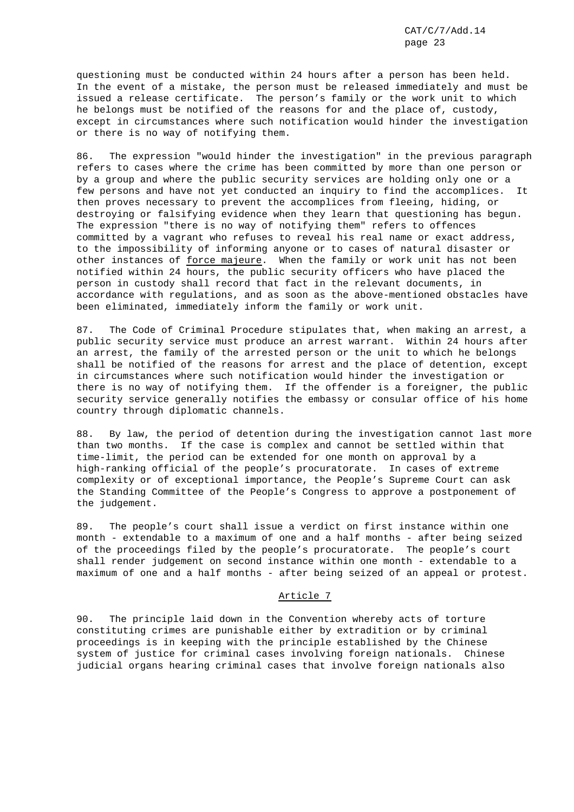questioning must be conducted within 24 hours after a person has been held. In the event of a mistake, the person must be released immediately and must be issued a release certificate. The person's family or the work unit to which he belongs must be notified of the reasons for and the place of, custody, except in circumstances where such notification would hinder the investigation or there is no way of notifying them.

86. The expression "would hinder the investigation" in the previous paragraph refers to cases where the crime has been committed by more than one person or by a group and where the public security services are holding only one or a few persons and have not yet conducted an inquiry to find the accomplices. It then proves necessary to prevent the accomplices from fleeing, hiding, or destroying or falsifying evidence when they learn that questioning has begun. The expression "there is no way of notifying them" refers to offences committed by a vagrant who refuses to reveal his real name or exact address, to the impossibility of informing anyone or to cases of natural disaster or other instances of force majeure. When the family or work unit has not been notified within 24 hours, the public security officers who have placed the person in custody shall record that fact in the relevant documents, in accordance with regulations, and as soon as the above-mentioned obstacles have been eliminated, immediately inform the family or work unit.

87. The Code of Criminal Procedure stipulates that, when making an arrest, a public security service must produce an arrest warrant. Within 24 hours after an arrest, the family of the arrested person or the unit to which he belongs shall be notified of the reasons for arrest and the place of detention, except in circumstances where such notification would hinder the investigation or there is no way of notifying them. If the offender is a foreigner, the public security service generally notifies the embassy or consular office of his home country through diplomatic channels.

88. By law, the period of detention during the investigation cannot last more than two months. If the case is complex and cannot be settled within that time-limit, the period can be extended for one month on approval by a high-ranking official of the people's procuratorate. In cases of extreme complexity or of exceptional importance, the People's Supreme Court can ask the Standing Committee of the People's Congress to approve a postponement of the judgement.

89. The people's court shall issue a verdict on first instance within one month - extendable to a maximum of one and a half months - after being seized of the proceedings filed by the people's procuratorate. The people's court shall render judgement on second instance within one month - extendable to a maximum of one and a half months - after being seized of an appeal or protest.

## Article 7

90. The principle laid down in the Convention whereby acts of torture constituting crimes are punishable either by extradition or by criminal proceedings is in keeping with the principle established by the Chinese system of justice for criminal cases involving foreign nationals. Chinese judicial organs hearing criminal cases that involve foreign nationals also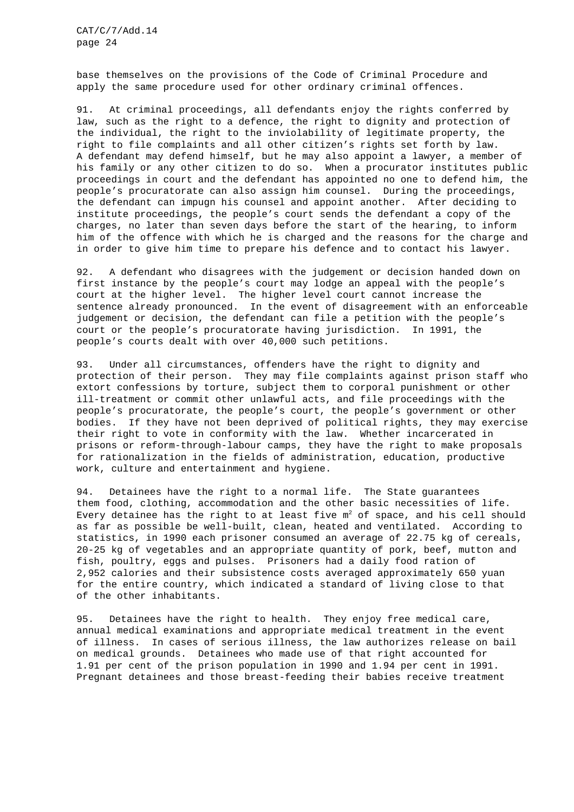base themselves on the provisions of the Code of Criminal Procedure and apply the same procedure used for other ordinary criminal offences.

91. At criminal proceedings, all defendants enjoy the rights conferred by law, such as the right to a defence, the right to dignity and protection of the individual, the right to the inviolability of legitimate property, the right to file complaints and all other citizen's rights set forth by law. A defendant may defend himself, but he may also appoint a lawyer, a member of his family or any other citizen to do so. When a procurator institutes public proceedings in court and the defendant has appointed no one to defend him, the people's procuratorate can also assign him counsel. During the proceedings, the defendant can impugn his counsel and appoint another. After deciding to institute proceedings, the people's court sends the defendant a copy of the charges, no later than seven days before the start of the hearing, to inform him of the offence with which he is charged and the reasons for the charge and in order to give him time to prepare his defence and to contact his lawyer.

92. A defendant who disagrees with the judgement or decision handed down on first instance by the people's court may lodge an appeal with the people's court at the higher level. The higher level court cannot increase the sentence already pronounced. In the event of disagreement with an enforceable judgement or decision, the defendant can file a petition with the people's court or the people's procuratorate having jurisdiction. In 1991, the people's courts dealt with over 40,000 such petitions.

93. Under all circumstances, offenders have the right to dignity and protection of their person. They may file complaints against prison staff who extort confessions by torture, subject them to corporal punishment or other ill-treatment or commit other unlawful acts, and file proceedings with the people's procuratorate, the people's court, the people's government or other bodies. If they have not been deprived of political rights, they may exercise their right to vote in conformity with the law. Whether incarcerated in prisons or reform-through-labour camps, they have the right to make proposals for rationalization in the fields of administration, education, productive work, culture and entertainment and hygiene.

94. Detainees have the right to a normal life. The State guarantees them food, clothing, accommodation and the other basic necessities of life. Every detainee has the right to at least five  $m^2$  of space, and his cell should as far as possible be well-built, clean, heated and ventilated. According to statistics, in 1990 each prisoner consumed an average of 22.75 kg of cereals, 20-25 kg of vegetables and an appropriate quantity of pork, beef, mutton and fish, poultry, eggs and pulses. Prisoners had a daily food ration of 2,952 calories and their subsistence costs averaged approximately 650 yuan for the entire country, which indicated a standard of living close to that of the other inhabitants.

95. Detainees have the right to health. They enjoy free medical care, annual medical examinations and appropriate medical treatment in the event of illness. In cases of serious illness, the law authorizes release on bail on medical grounds. Detainees who made use of that right accounted for 1.91 per cent of the prison population in 1990 and 1.94 per cent in 1991. Pregnant detainees and those breast-feeding their babies receive treatment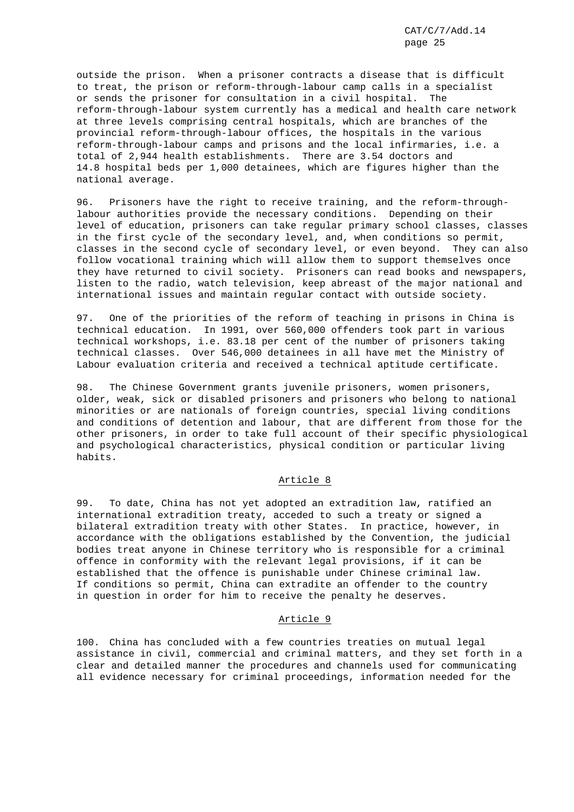outside the prison. When a prisoner contracts a disease that is difficult to treat, the prison or reform-through-labour camp calls in a specialist or sends the prisoner for consultation in a civil hospital. The reform-through-labour system currently has a medical and health care network at three levels comprising central hospitals, which are branches of the provincial reform-through-labour offices, the hospitals in the various reform-through-labour camps and prisons and the local infirmaries, i.e. a total of 2,944 health establishments. There are 3.54 doctors and 14.8 hospital beds per 1,000 detainees, which are figures higher than the national average.

96. Prisoners have the right to receive training, and the reform-throughlabour authorities provide the necessary conditions. Depending on their level of education, prisoners can take regular primary school classes, classes in the first cycle of the secondary level, and, when conditions so permit, classes in the second cycle of secondary level, or even beyond. They can also follow vocational training which will allow them to support themselves once they have returned to civil society. Prisoners can read books and newspapers, listen to the radio, watch television, keep abreast of the major national and international issues and maintain regular contact with outside society.

97. One of the priorities of the reform of teaching in prisons in China is technical education. In 1991, over 560,000 offenders took part in various technical workshops, i.e. 83.18 per cent of the number of prisoners taking technical classes. Over 546,000 detainees in all have met the Ministry of Labour evaluation criteria and received a technical aptitude certificate.

98. The Chinese Government grants juvenile prisoners, women prisoners, older, weak, sick or disabled prisoners and prisoners who belong to national minorities or are nationals of foreign countries, special living conditions and conditions of detention and labour, that are different from those for the other prisoners, in order to take full account of their specific physiological and psychological characteristics, physical condition or particular living habits.

# Article 8

99. To date, China has not yet adopted an extradition law, ratified an international extradition treaty, acceded to such a treaty or signed a bilateral extradition treaty with other States. In practice, however, in accordance with the obligations established by the Convention, the judicial bodies treat anyone in Chinese territory who is responsible for a criminal offence in conformity with the relevant legal provisions, if it can be established that the offence is punishable under Chinese criminal law. If conditions so permit, China can extradite an offender to the country in question in order for him to receive the penalty he deserves.

## Article 9

100. China has concluded with a few countries treaties on mutual legal assistance in civil, commercial and criminal matters, and they set forth in a clear and detailed manner the procedures and channels used for communicating all evidence necessary for criminal proceedings, information needed for the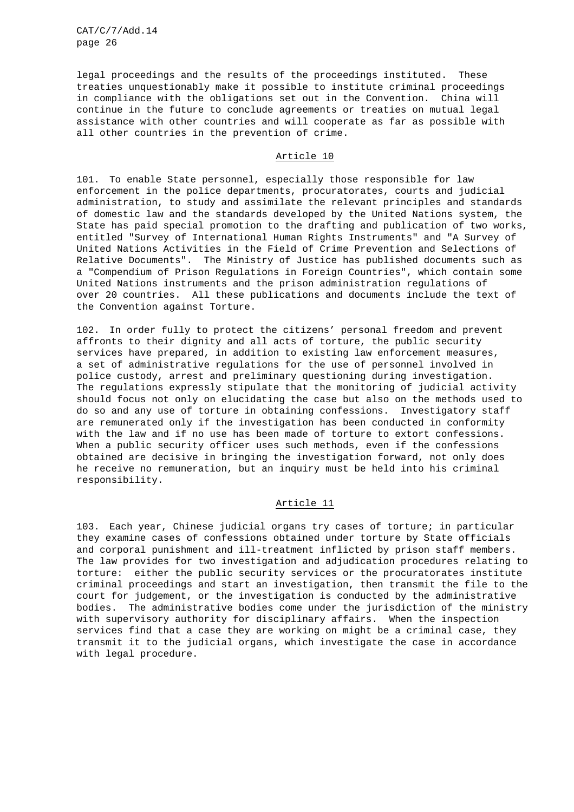legal proceedings and the results of the proceedings instituted. These treaties unquestionably make it possible to institute criminal proceedings in compliance with the obligations set out in the Convention. China will continue in the future to conclude agreements or treaties on mutual legal assistance with other countries and will cooperate as far as possible with all other countries in the prevention of crime.

## Article 10

101. To enable State personnel, especially those responsible for law enforcement in the police departments, procuratorates, courts and judicial administration, to study and assimilate the relevant principles and standards of domestic law and the standards developed by the United Nations system, the State has paid special promotion to the drafting and publication of two works, entitled "Survey of International Human Rights Instruments" and "A Survey of United Nations Activities in the Field of Crime Prevention and Selections of Relative Documents". The Ministry of Justice has published documents such as a "Compendium of Prison Regulations in Foreign Countries", which contain some United Nations instruments and the prison administration regulations of over 20 countries. All these publications and documents include the text of the Convention against Torture.

102. In order fully to protect the citizens' personal freedom and prevent affronts to their dignity and all acts of torture, the public security services have prepared, in addition to existing law enforcement measures, a set of administrative regulations for the use of personnel involved in police custody, arrest and preliminary questioning during investigation. The regulations expressly stipulate that the monitoring of judicial activity should focus not only on elucidating the case but also on the methods used to do so and any use of torture in obtaining confessions. Investigatory staff are remunerated only if the investigation has been conducted in conformity with the law and if no use has been made of torture to extort confessions. When a public security officer uses such methods, even if the confessions obtained are decisive in bringing the investigation forward, not only does he receive no remuneration, but an inquiry must be held into his criminal responsibility.

### Article 11

103. Each year, Chinese judicial organs try cases of torture; in particular they examine cases of confessions obtained under torture by State officials and corporal punishment and ill-treatment inflicted by prison staff members. The law provides for two investigation and adjudication procedures relating to torture: either the public security services or the procuratorates institute criminal proceedings and start an investigation, then transmit the file to the court for judgement, or the investigation is conducted by the administrative bodies. The administrative bodies come under the jurisdiction of the ministry with supervisory authority for disciplinary affairs. When the inspection services find that a case they are working on might be a criminal case, they transmit it to the judicial organs, which investigate the case in accordance with legal procedure.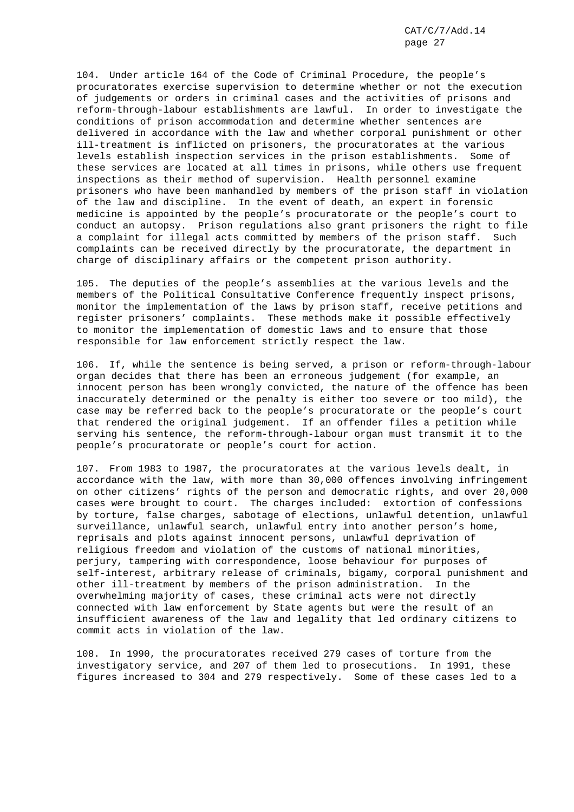104. Under article 164 of the Code of Criminal Procedure, the people's procuratorates exercise supervision to determine whether or not the execution of judgements or orders in criminal cases and the activities of prisons and reform-through-labour establishments are lawful. In order to investigate the conditions of prison accommodation and determine whether sentences are delivered in accordance with the law and whether corporal punishment or other ill-treatment is inflicted on prisoners, the procuratorates at the various levels establish inspection services in the prison establishments. Some of these services are located at all times in prisons, while others use frequent inspections as their method of supervision. Health personnel examine prisoners who have been manhandled by members of the prison staff in violation of the law and discipline. In the event of death, an expert in forensic medicine is appointed by the people's procuratorate or the people's court to conduct an autopsy. Prison regulations also grant prisoners the right to file a complaint for illegal acts committed by members of the prison staff. Such complaints can be received directly by the procuratorate, the department in charge of disciplinary affairs or the competent prison authority.

105. The deputies of the people's assemblies at the various levels and the members of the Political Consultative Conference frequently inspect prisons, monitor the implementation of the laws by prison staff, receive petitions and register prisoners' complaints. These methods make it possible effectively to monitor the implementation of domestic laws and to ensure that those responsible for law enforcement strictly respect the law.

106. If, while the sentence is being served, a prison or reform-through-labour organ decides that there has been an erroneous judgement (for example, an innocent person has been wrongly convicted, the nature of the offence has been inaccurately determined or the penalty is either too severe or too mild), the case may be referred back to the people's procuratorate or the people's court that rendered the original judgement. If an offender files a petition while serving his sentence, the reform-through-labour organ must transmit it to the people's procuratorate or people's court for action.

107. From 1983 to 1987, the procuratorates at the various levels dealt, in accordance with the law, with more than 30,000 offences involving infringement on other citizens' rights of the person and democratic rights, and over 20,000 cases were brought to court. The charges included: extortion of confessions by torture, false charges, sabotage of elections, unlawful detention, unlawful surveillance, unlawful search, unlawful entry into another person's home, reprisals and plots against innocent persons, unlawful deprivation of religious freedom and violation of the customs of national minorities, perjury, tampering with correspondence, loose behaviour for purposes of self-interest, arbitrary release of criminals, bigamy, corporal punishment and other ill-treatment by members of the prison administration. In the overwhelming majority of cases, these criminal acts were not directly connected with law enforcement by State agents but were the result of an insufficient awareness of the law and legality that led ordinary citizens to commit acts in violation of the law.

108. In 1990, the procuratorates received 279 cases of torture from the investigatory service, and 207 of them led to prosecutions. In 1991, these figures increased to 304 and 279 respectively. Some of these cases led to a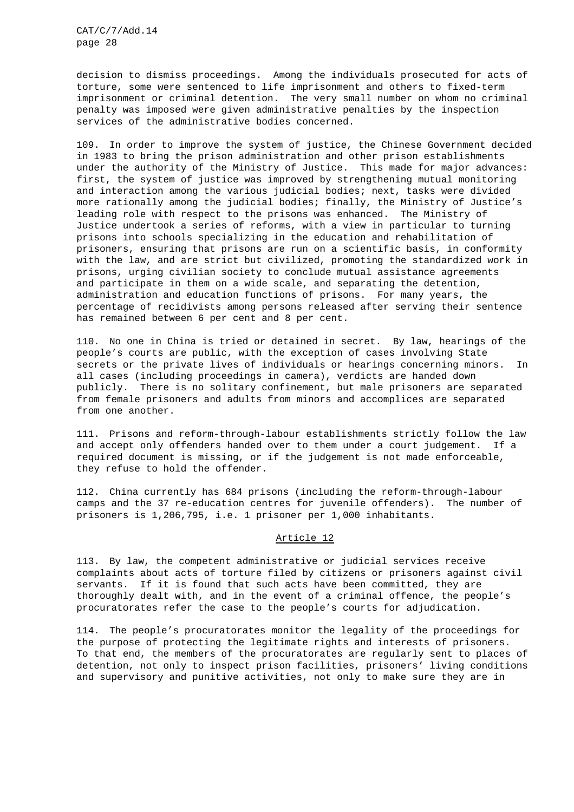decision to dismiss proceedings. Among the individuals prosecuted for acts of torture, some were sentenced to life imprisonment and others to fixed-term imprisonment or criminal detention. The very small number on whom no criminal penalty was imposed were given administrative penalties by the inspection services of the administrative bodies concerned.

109. In order to improve the system of justice, the Chinese Government decided in 1983 to bring the prison administration and other prison establishments under the authority of the Ministry of Justice. This made for major advances: first, the system of justice was improved by strengthening mutual monitoring and interaction among the various judicial bodies; next, tasks were divided more rationally among the judicial bodies; finally, the Ministry of Justice's leading role with respect to the prisons was enhanced. The Ministry of Justice undertook a series of reforms, with a view in particular to turning prisons into schools specializing in the education and rehabilitation of prisoners, ensuring that prisons are run on a scientific basis, in conformity with the law, and are strict but civilized, promoting the standardized work in prisons, urging civilian society to conclude mutual assistance agreements and participate in them on a wide scale, and separating the detention, administration and education functions of prisons. For many years, the percentage of recidivists among persons released after serving their sentence has remained between 6 per cent and 8 per cent.

110. No one in China is tried or detained in secret. By law, hearings of the people's courts are public, with the exception of cases involving State secrets or the private lives of individuals or hearings concerning minors. In all cases (including proceedings in camera), verdicts are handed down publicly. There is no solitary confinement, but male prisoners are separated from female prisoners and adults from minors and accomplices are separated from one another.

111. Prisons and reform-through-labour establishments strictly follow the law and accept only offenders handed over to them under a court judgement. If a required document is missing, or if the judgement is not made enforceable, they refuse to hold the offender.

112. China currently has 684 prisons (including the reform-through-labour camps and the 37 re-education centres for juvenile offenders). The number of prisoners is 1,206,795, i.e. 1 prisoner per 1,000 inhabitants.

### Article 12

113. By law, the competent administrative or judicial services receive complaints about acts of torture filed by citizens or prisoners against civil servants. If it is found that such acts have been committed, they are thoroughly dealt with, and in the event of a criminal offence, the people's procuratorates refer the case to the people's courts for adjudication.

114. The people's procuratorates monitor the legality of the proceedings for the purpose of protecting the legitimate rights and interests of prisoners. To that end, the members of the procuratorates are regularly sent to places of detention, not only to inspect prison facilities, prisoners' living conditions and supervisory and punitive activities, not only to make sure they are in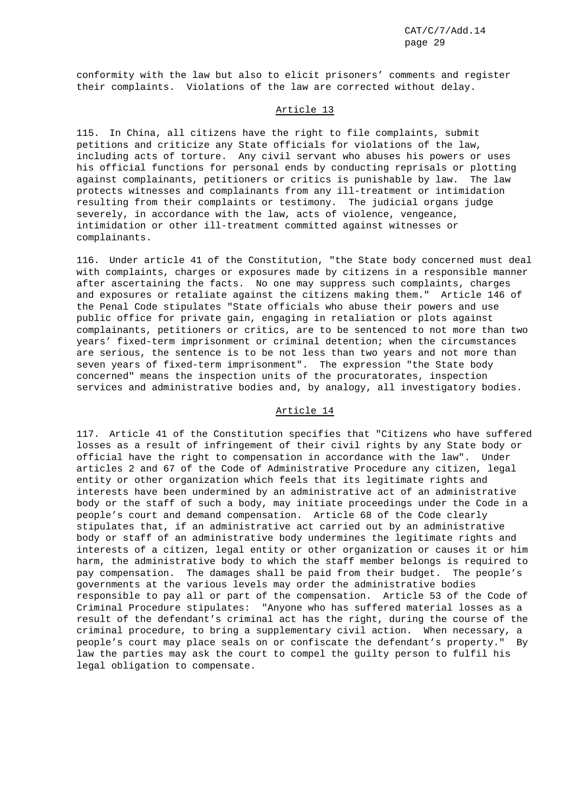conformity with the law but also to elicit prisoners' comments and register their complaints. Violations of the law are corrected without delay.

### Article 13

115. In China, all citizens have the right to file complaints, submit petitions and criticize any State officials for violations of the law, including acts of torture. Any civil servant who abuses his powers or uses his official functions for personal ends by conducting reprisals or plotting against complainants, petitioners or critics is punishable by law. The law protects witnesses and complainants from any ill-treatment or intimidation resulting from their complaints or testimony. The judicial organs judge severely, in accordance with the law, acts of violence, vengeance, intimidation or other ill-treatment committed against witnesses or complainants.

116. Under article 41 of the Constitution, "the State body concerned must deal with complaints, charges or exposures made by citizens in a responsible manner after ascertaining the facts. No one may suppress such complaints, charges and exposures or retaliate against the citizens making them." Article 146 of the Penal Code stipulates "State officials who abuse their powers and use public office for private gain, engaging in retaliation or plots against complainants, petitioners or critics, are to be sentenced to not more than two years' fixed-term imprisonment or criminal detention; when the circumstances are serious, the sentence is to be not less than two years and not more than seven years of fixed-term imprisonment". The expression "the State body concerned" means the inspection units of the procuratorates, inspection services and administrative bodies and, by analogy, all investigatory bodies.

### Article 14

117. Article 41 of the Constitution specifies that "Citizens who have suffered losses as a result of infringement of their civil rights by any State body or official have the right to compensation in accordance with the law". Under articles 2 and 67 of the Code of Administrative Procedure any citizen, legal entity or other organization which feels that its legitimate rights and interests have been undermined by an administrative act of an administrative body or the staff of such a body, may initiate proceedings under the Code in a people's court and demand compensation. Article 68 of the Code clearly stipulates that, if an administrative act carried out by an administrative body or staff of an administrative body undermines the legitimate rights and interests of a citizen, legal entity or other organization or causes it or him harm, the administrative body to which the staff member belongs is required to pay compensation. The damages shall be paid from their budget. The people's governments at the various levels may order the administrative bodies responsible to pay all or part of the compensation. Article 53 of the Code of Criminal Procedure stipulates: "Anyone who has suffered material losses as a result of the defendant's criminal act has the right, during the course of the criminal procedure, to bring a supplementary civil action. When necessary, a people's court may place seals on or confiscate the defendant's property." By law the parties may ask the court to compel the guilty person to fulfil his legal obligation to compensate.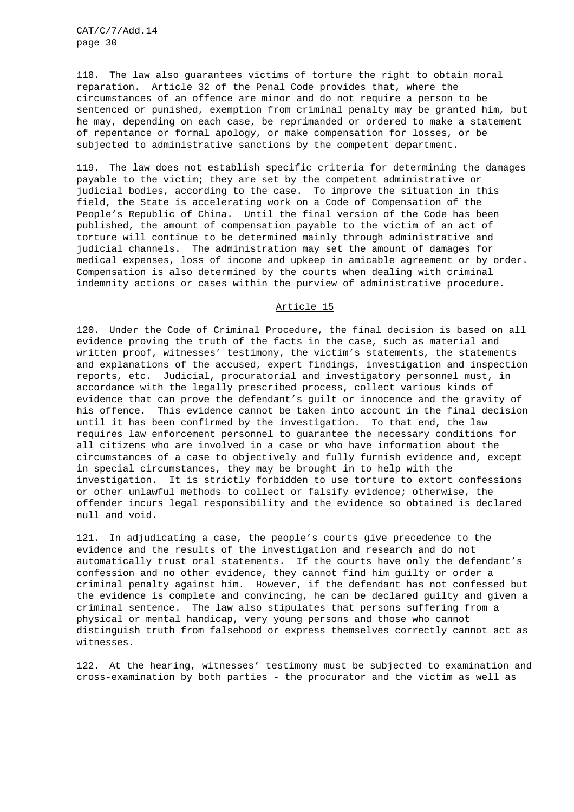118. The law also guarantees victims of torture the right to obtain moral reparation. Article 32 of the Penal Code provides that, where the circumstances of an offence are minor and do not require a person to be sentenced or punished, exemption from criminal penalty may be granted him, but he may, depending on each case, be reprimanded or ordered to make a statement of repentance or formal apology, or make compensation for losses, or be subjected to administrative sanctions by the competent department.

119. The law does not establish specific criteria for determining the damages payable to the victim; they are set by the competent administrative or judicial bodies, according to the case. To improve the situation in this field, the State is accelerating work on a Code of Compensation of the People's Republic of China. Until the final version of the Code has been published, the amount of compensation payable to the victim of an act of torture will continue to be determined mainly through administrative and judicial channels. The administration may set the amount of damages for medical expenses, loss of income and upkeep in amicable agreement or by order. Compensation is also determined by the courts when dealing with criminal indemnity actions or cases within the purview of administrative procedure.

## Article 15

120. Under the Code of Criminal Procedure, the final decision is based on all evidence proving the truth of the facts in the case, such as material and written proof, witnesses' testimony, the victim's statements, the statements and explanations of the accused, expert findings, investigation and inspection reports, etc. Judicial, procuratorial and investigatory personnel must, in accordance with the legally prescribed process, collect various kinds of evidence that can prove the defendant's guilt or innocence and the gravity of his offence. This evidence cannot be taken into account in the final decision until it has been confirmed by the investigation. To that end, the law requires law enforcement personnel to guarantee the necessary conditions for all citizens who are involved in a case or who have information about the circumstances of a case to objectively and fully furnish evidence and, except in special circumstances, they may be brought in to help with the investigation. It is strictly forbidden to use torture to extort confessions or other unlawful methods to collect or falsify evidence; otherwise, the offender incurs legal responsibility and the evidence so obtained is declared null and void.

121. In adjudicating a case, the people's courts give precedence to the evidence and the results of the investigation and research and do not automatically trust oral statements. If the courts have only the defendant's confession and no other evidence, they cannot find him guilty or order a criminal penalty against him. However, if the defendant has not confessed but the evidence is complete and convincing, he can be declared guilty and given a criminal sentence. The law also stipulates that persons suffering from a physical or mental handicap, very young persons and those who cannot distinguish truth from falsehood or express themselves correctly cannot act as witnesses.

122. At the hearing, witnesses' testimony must be subjected to examination and cross-examination by both parties - the procurator and the victim as well as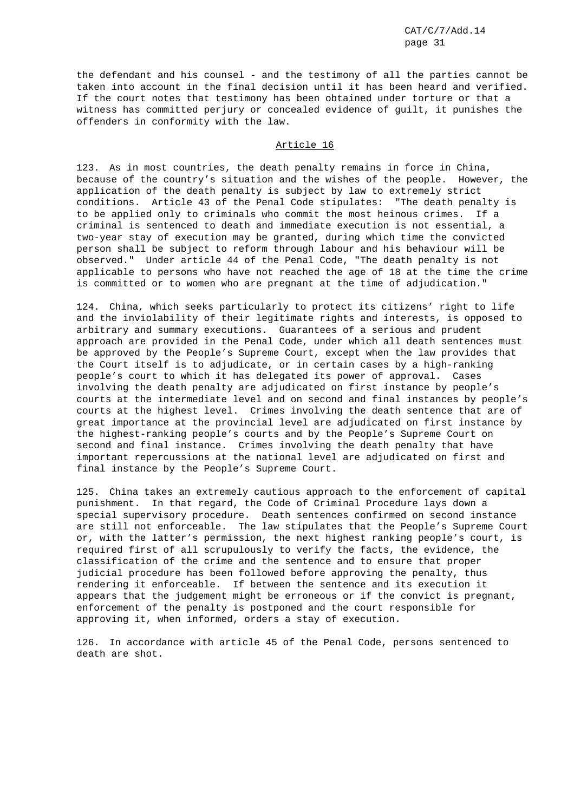the defendant and his counsel - and the testimony of all the parties cannot be taken into account in the final decision until it has been heard and verified. If the court notes that testimony has been obtained under torture or that a witness has committed perjury or concealed evidence of guilt, it punishes the offenders in conformity with the law.

### Article 16

123. As in most countries, the death penalty remains in force in China, because of the country's situation and the wishes of the people. However, the application of the death penalty is subject by law to extremely strict conditions. Article 43 of the Penal Code stipulates: "The death penalty is to be applied only to criminals who commit the most heinous crimes. If a criminal is sentenced to death and immediate execution is not essential, a two-year stay of execution may be granted, during which time the convicted person shall be subject to reform through labour and his behaviour will be observed." Under article 44 of the Penal Code, "The death penalty is not applicable to persons who have not reached the age of 18 at the time the crime is committed or to women who are pregnant at the time of adjudication."

124. China, which seeks particularly to protect its citizens' right to life and the inviolability of their legitimate rights and interests, is opposed to arbitrary and summary executions. Guarantees of a serious and prudent approach are provided in the Penal Code, under which all death sentences must be approved by the People's Supreme Court, except when the law provides that the Court itself is to adjudicate, or in certain cases by a high-ranking people's court to which it has delegated its power of approval. Cases involving the death penalty are adjudicated on first instance by people's courts at the intermediate level and on second and final instances by people's courts at the highest level. Crimes involving the death sentence that are of great importance at the provincial level are adjudicated on first instance by the highest-ranking people's courts and by the People's Supreme Court on second and final instance. Crimes involving the death penalty that have important repercussions at the national level are adjudicated on first and final instance by the People's Supreme Court.

125. China takes an extremely cautious approach to the enforcement of capital punishment. In that regard, the Code of Criminal Procedure lays down a special supervisory procedure. Death sentences confirmed on second instance are still not enforceable. The law stipulates that the People's Supreme Court or, with the latter's permission, the next highest ranking people's court, is required first of all scrupulously to verify the facts, the evidence, the classification of the crime and the sentence and to ensure that proper judicial procedure has been followed before approving the penalty, thus rendering it enforceable. If between the sentence and its execution it appears that the judgement might be erroneous or if the convict is pregnant, enforcement of the penalty is postponed and the court responsible for approving it, when informed, orders a stay of execution.

126. In accordance with article 45 of the Penal Code, persons sentenced to death are shot.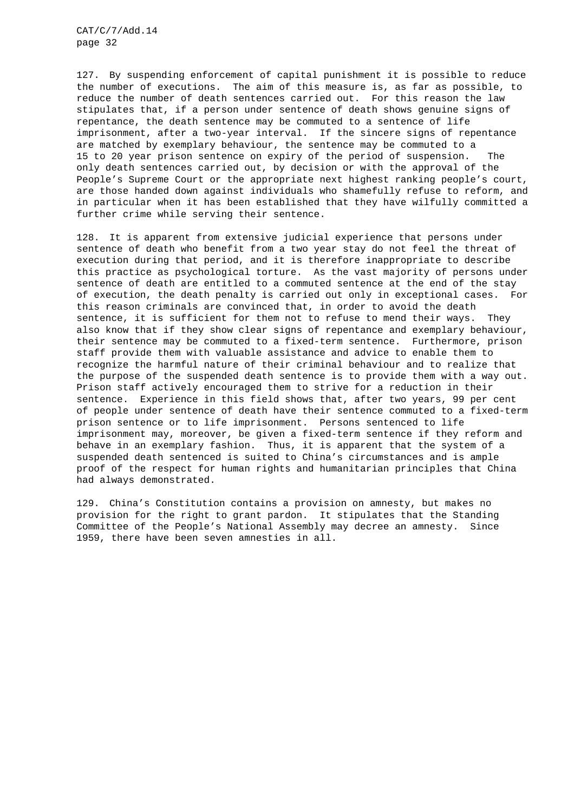127. By suspending enforcement of capital punishment it is possible to reduce the number of executions. The aim of this measure is, as far as possible, to reduce the number of death sentences carried out. For this reason the law stipulates that, if a person under sentence of death shows genuine signs of repentance, the death sentence may be commuted to a sentence of life imprisonment, after a two-year interval. If the sincere signs of repentance are matched by exemplary behaviour, the sentence may be commuted to a 15 to 20 year prison sentence on expiry of the period of suspension. The only death sentences carried out, by decision or with the approval of the People's Supreme Court or the appropriate next highest ranking people's court, are those handed down against individuals who shamefully refuse to reform, and in particular when it has been established that they have wilfully committed a further crime while serving their sentence.

128. It is apparent from extensive judicial experience that persons under sentence of death who benefit from a two year stay do not feel the threat of execution during that period, and it is therefore inappropriate to describe this practice as psychological torture. As the vast majority of persons under sentence of death are entitled to a commuted sentence at the end of the stay of execution, the death penalty is carried out only in exceptional cases. For this reason criminals are convinced that, in order to avoid the death sentence, it is sufficient for them not to refuse to mend their ways. They also know that if they show clear signs of repentance and exemplary behaviour, their sentence may be commuted to a fixed-term sentence. Furthermore, prison staff provide them with valuable assistance and advice to enable them to recognize the harmful nature of their criminal behaviour and to realize that the purpose of the suspended death sentence is to provide them with a way out. Prison staff actively encouraged them to strive for a reduction in their sentence. Experience in this field shows that, after two years, 99 per cent of people under sentence of death have their sentence commuted to a fixed-term prison sentence or to life imprisonment. Persons sentenced to life imprisonment may, moreover, be given a fixed-term sentence if they reform and behave in an exemplary fashion. Thus, it is apparent that the system of a suspended death sentenced is suited to China's circumstances and is ample proof of the respect for human rights and humanitarian principles that China had always demonstrated.

129. China's Constitution contains a provision on amnesty, but makes no provision for the right to grant pardon. It stipulates that the Standing Committee of the People's National Assembly may decree an amnesty. Since 1959, there have been seven amnesties in all.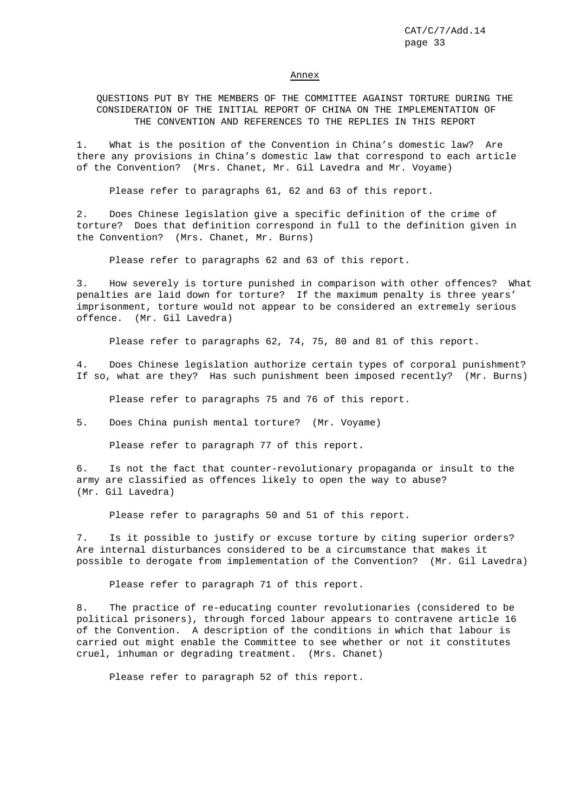#### Annex

QUESTIONS PUT BY THE MEMBERS OF THE COMMITTEE AGAINST TORTURE DURING THE CONSIDERATION OF THE INITIAL REPORT OF CHINA ON THE IMPLEMENTATION OF THE CONVENTION AND REFERENCES TO THE REPLIES IN THIS REPORT

1. What is the position of the Convention in China's domestic law? Are there any provisions in China's domestic law that correspond to each article of the Convention? (Mrs. Chanet, Mr. Gil Lavedra and Mr. Voyame)

Please refer to paragraphs 61, 62 and 63 of this report.

2. Does Chinese legislation give a specific definition of the crime of torture? Does that definition correspond in full to the definition given in the Convention? (Mrs. Chanet, Mr. Burns)

Please refer to paragraphs 62 and 63 of this report.

3. How severely is torture punished in comparison with other offences? What penalties are laid down for torture? If the maximum penalty is three years' imprisonment, torture would not appear to be considered an extremely serious offence. (Mr. Gil Lavedra)

Please refer to paragraphs 62, 74, 75, 80 and 81 of this report.

4. Does Chinese legislation authorize certain types of corporal punishment? If so, what are they? Has such punishment been imposed recently? (Mr. Burns)

Please refer to paragraphs 75 and 76 of this report.

5. Does China punish mental torture? (Mr. Voyame)

Please refer to paragraph 77 of this report.

6. Is not the fact that counter-revolutionary propaganda or insult to the army are classified as offences likely to open the way to abuse? (Mr. Gil Lavedra)

Please refer to paragraphs 50 and 51 of this report.

7. Is it possible to justify or excuse torture by citing superior orders? Are internal disturbances considered to be a circumstance that makes it possible to derogate from implementation of the Convention? (Mr. Gil Lavedra)

Please refer to paragraph 71 of this report.

8. The practice of re-educating counter revolutionaries (considered to be political prisoners), through forced labour appears to contravene article 16 of the Convention. A description of the conditions in which that labour is carried out might enable the Committee to see whether or not it constitutes cruel, inhuman or degrading treatment. (Mrs. Chanet)

Please refer to paragraph 52 of this report.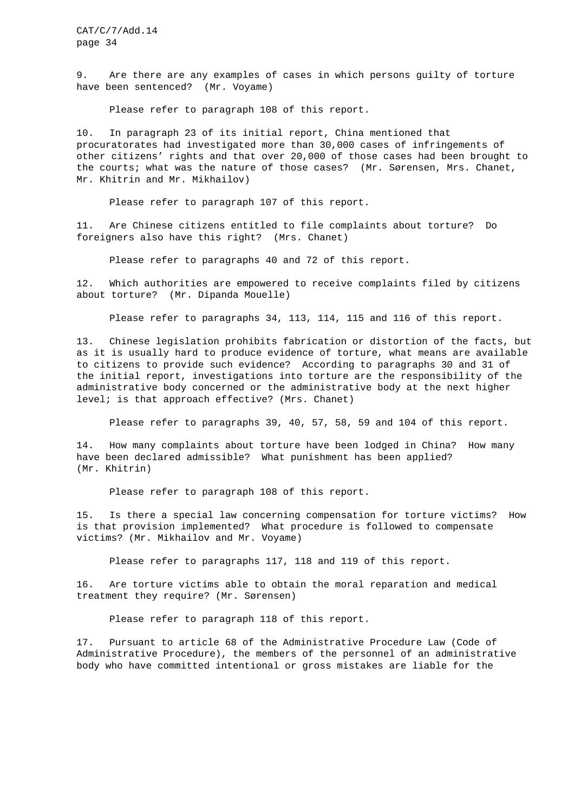9. Are there are any examples of cases in which persons guilty of torture have been sentenced? (Mr. Voyame)

Please refer to paragraph 108 of this report.

10. In paragraph 23 of its initial report, China mentioned that procuratorates had investigated more than 30,000 cases of infringements of other citizens' rights and that over 20,000 of those cases had been brought to the courts; what was the nature of those cases? (Mr. Sørensen, Mrs. Chanet, Mr. Khitrin and Mr. Mikhailov)

Please refer to paragraph 107 of this report.

11. Are Chinese citizens entitled to file complaints about torture? Do foreigners also have this right? (Mrs. Chanet)

Please refer to paragraphs 40 and 72 of this report.

12. Which authorities are empowered to receive complaints filed by citizens about torture? (Mr. Dipanda Mouelle)

Please refer to paragraphs 34, 113, 114, 115 and 116 of this report.

13. Chinese legislation prohibits fabrication or distortion of the facts, but as it is usually hard to produce evidence of torture, what means are available to citizens to provide such evidence? According to paragraphs 30 and 31 of the initial report, investigations into torture are the responsibility of the administrative body concerned or the administrative body at the next higher level; is that approach effective? (Mrs. Chanet)

Please refer to paragraphs 39, 40, 57, 58, 59 and 104 of this report.

14. How many complaints about torture have been lodged in China? How many have been declared admissible? What punishment has been applied? (Mr. Khitrin)

Please refer to paragraph 108 of this report.

15. Is there a special law concerning compensation for torture victims? How is that provision implemented? What procedure is followed to compensate victims? (Mr. Mikhailov and Mr. Voyame)

Please refer to paragraphs 117, 118 and 119 of this report.

16. Are torture victims able to obtain the moral reparation and medical treatment they require? (Mr. Sørensen)

Please refer to paragraph 118 of this report.

17. Pursuant to article 68 of the Administrative Procedure Law (Code of Administrative Procedure), the members of the personnel of an administrative body who have committed intentional or gross mistakes are liable for the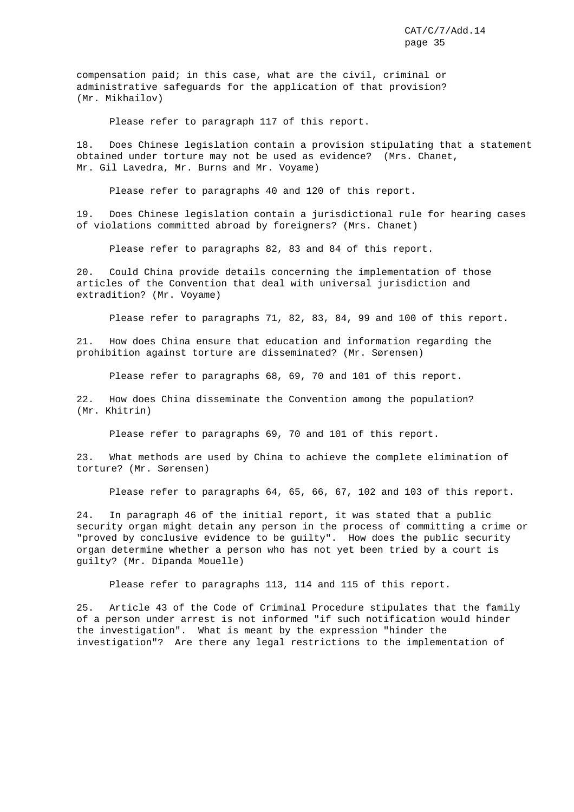compensation paid; in this case, what are the civil, criminal or administrative safeguards for the application of that provision? (Mr. Mikhailov)

Please refer to paragraph 117 of this report.

18. Does Chinese legislation contain a provision stipulating that a statement obtained under torture may not be used as evidence? (Mrs. Chanet, Mr. Gil Lavedra, Mr. Burns and Mr. Voyame)

Please refer to paragraphs 40 and 120 of this report.

19. Does Chinese legislation contain a jurisdictional rule for hearing cases of violations committed abroad by foreigners? (Mrs. Chanet)

Please refer to paragraphs 82, 83 and 84 of this report.

20. Could China provide details concerning the implementation of those articles of the Convention that deal with universal jurisdiction and extradition? (Mr. Voyame)

Please refer to paragraphs 71, 82, 83, 84, 99 and 100 of this report.

21. How does China ensure that education and information regarding the prohibition against torture are disseminated? (Mr. Sørensen)

Please refer to paragraphs 68, 69, 70 and 101 of this report.

22. How does China disseminate the Convention among the population? (Mr. Khitrin)

Please refer to paragraphs 69, 70 and 101 of this report.

23. What methods are used by China to achieve the complete elimination of torture? (Mr. Sørensen)

Please refer to paragraphs 64, 65, 66, 67, 102 and 103 of this report.

24. In paragraph 46 of the initial report, it was stated that a public security organ might detain any person in the process of committing a crime or "proved by conclusive evidence to be guilty". How does the public security organ determine whether a person who has not yet been tried by a court is guilty? (Mr. Dipanda Mouelle)

Please refer to paragraphs 113, 114 and 115 of this report.

25. Article 43 of the Code of Criminal Procedure stipulates that the family of a person under arrest is not informed "if such notification would hinder the investigation". What is meant by the expression "hinder the investigation"? Are there any legal restrictions to the implementation of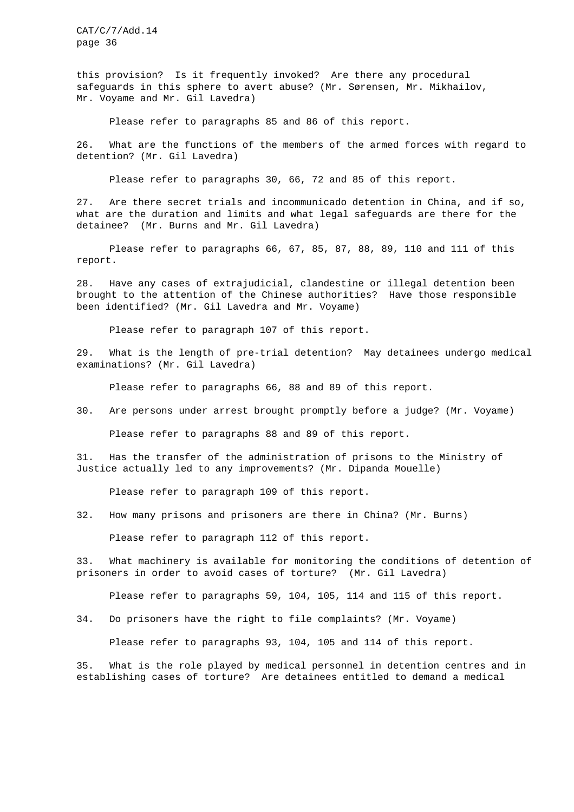this provision? Is it frequently invoked? Are there any procedural safeguards in this sphere to avert abuse? (Mr. Sørensen, Mr. Mikhailov, Mr. Voyame and Mr. Gil Lavedra)

Please refer to paragraphs 85 and 86 of this report.

26. What are the functions of the members of the armed forces with regard to detention? (Mr. Gil Lavedra)

Please refer to paragraphs 30, 66, 72 and 85 of this report.

27. Are there secret trials and incommunicado detention in China, and if so, what are the duration and limits and what legal safeguards are there for the detainee? (Mr. Burns and Mr. Gil Lavedra)

Please refer to paragraphs 66, 67, 85, 87, 88, 89, 110 and 111 of this report.

28. Have any cases of extrajudicial, clandestine or illegal detention been brought to the attention of the Chinese authorities? Have those responsible been identified? (Mr. Gil Lavedra and Mr. Voyame)

Please refer to paragraph 107 of this report.

29. What is the length of pre-trial detention? May detainees undergo medical examinations? (Mr. Gil Lavedra)

Please refer to paragraphs 66, 88 and 89 of this report.

30. Are persons under arrest brought promptly before a judge? (Mr. Voyame)

Please refer to paragraphs 88 and 89 of this report.

31. Has the transfer of the administration of prisons to the Ministry of Justice actually led to any improvements? (Mr. Dipanda Mouelle)

Please refer to paragraph 109 of this report.

32. How many prisons and prisoners are there in China? (Mr. Burns)

Please refer to paragraph 112 of this report.

33. What machinery is available for monitoring the conditions of detention of prisoners in order to avoid cases of torture? (Mr. Gil Lavedra)

Please refer to paragraphs 59, 104, 105, 114 and 115 of this report.

34. Do prisoners have the right to file complaints? (Mr. Voyame)

Please refer to paragraphs 93, 104, 105 and 114 of this report.

35. What is the role played by medical personnel in detention centres and in establishing cases of torture? Are detainees entitled to demand a medical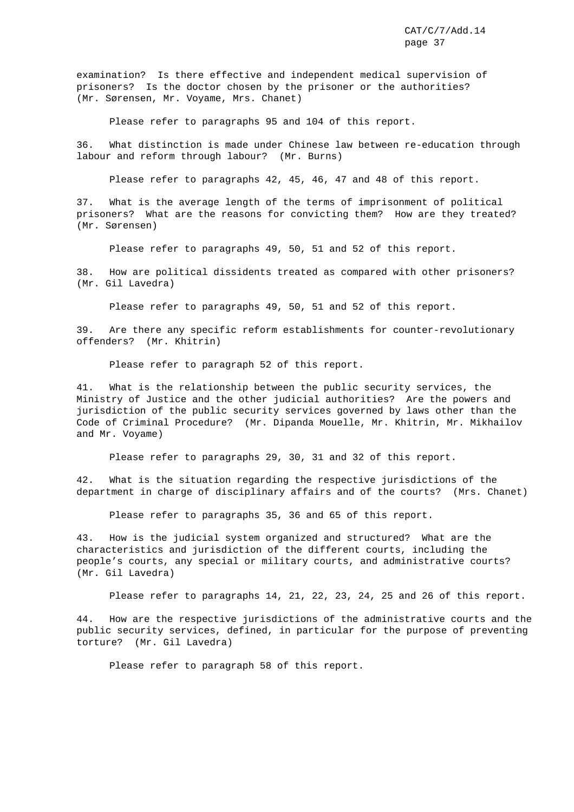examination? Is there effective and independent medical supervision of prisoners? Is the doctor chosen by the prisoner or the authorities? (Mr. Sørensen, Mr. Voyame, Mrs. Chanet)

Please refer to paragraphs 95 and 104 of this report.

36. What distinction is made under Chinese law between re-education through labour and reform through labour? (Mr. Burns)

Please refer to paragraphs 42, 45, 46, 47 and 48 of this report.

37. What is the average length of the terms of imprisonment of political prisoners? What are the reasons for convicting them? How are they treated? (Mr. Sørensen)

Please refer to paragraphs 49, 50, 51 and 52 of this report.

38. How are political dissidents treated as compared with other prisoners? (Mr. Gil Lavedra)

Please refer to paragraphs 49, 50, 51 and 52 of this report.

39. Are there any specific reform establishments for counter-revolutionary offenders? (Mr. Khitrin)

Please refer to paragraph 52 of this report.

41. What is the relationship between the public security services, the Ministry of Justice and the other judicial authorities? Are the powers and jurisdiction of the public security services governed by laws other than the Code of Criminal Procedure? (Mr. Dipanda Mouelle, Mr. Khitrin, Mr. Mikhailov and Mr. Voyame)

Please refer to paragraphs 29, 30, 31 and 32 of this report.

42. What is the situation regarding the respective jurisdictions of the department in charge of disciplinary affairs and of the courts? (Mrs. Chanet)

Please refer to paragraphs 35, 36 and 65 of this report.

43. How is the judicial system organized and structured? What are the characteristics and jurisdiction of the different courts, including the people's courts, any special or military courts, and administrative courts? (Mr. Gil Lavedra)

Please refer to paragraphs 14, 21, 22, 23, 24, 25 and 26 of this report.

44. How are the respective jurisdictions of the administrative courts and the public security services, defined, in particular for the purpose of preventing torture? (Mr. Gil Lavedra)

Please refer to paragraph 58 of this report.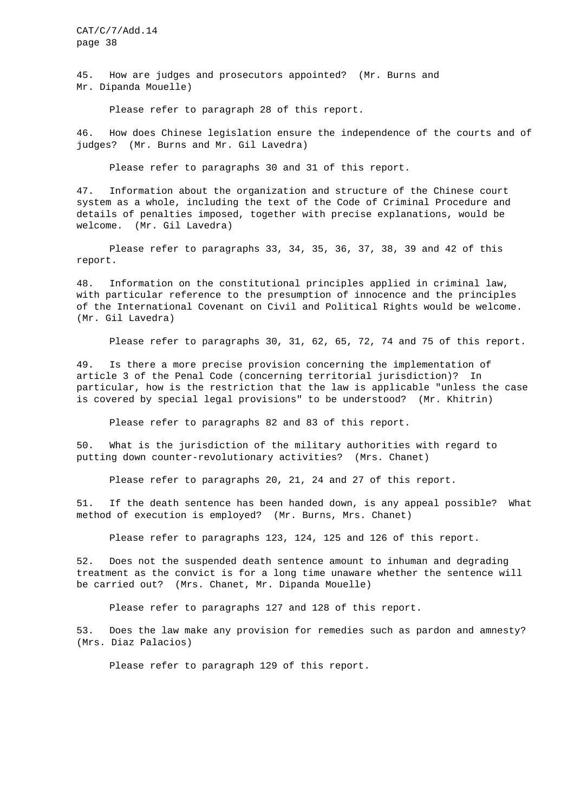45. How are judges and prosecutors appointed? (Mr. Burns and Mr. Dipanda Mouelle)

Please refer to paragraph 28 of this report.

46. How does Chinese legislation ensure the independence of the courts and of judges? (Mr. Burns and Mr. Gil Lavedra)

Please refer to paragraphs 30 and 31 of this report.

47. Information about the organization and structure of the Chinese court system as a whole, including the text of the Code of Criminal Procedure and details of penalties imposed, together with precise explanations, would be welcome. (Mr. Gil Lavedra)

Please refer to paragraphs 33, 34, 35, 36, 37, 38, 39 and 42 of this report.

48. Information on the constitutional principles applied in criminal law, with particular reference to the presumption of innocence and the principles of the International Covenant on Civil and Political Rights would be welcome. (Mr. Gil Lavedra)

Please refer to paragraphs 30, 31, 62, 65, 72, 74 and 75 of this report.

49. Is there a more precise provision concerning the implementation of article 3 of the Penal Code (concerning territorial jurisdiction)? In particular, how is the restriction that the law is applicable "unless the case is covered by special legal provisions" to be understood? (Mr. Khitrin)

Please refer to paragraphs 82 and 83 of this report.

50. What is the jurisdiction of the military authorities with regard to putting down counter-revolutionary activities? (Mrs. Chanet)

Please refer to paragraphs 20, 21, 24 and 27 of this report.

51. If the death sentence has been handed down, is any appeal possible? What method of execution is employed? (Mr. Burns, Mrs. Chanet)

Please refer to paragraphs 123, 124, 125 and 126 of this report.

52. Does not the suspended death sentence amount to inhuman and degrading treatment as the convict is for a long time unaware whether the sentence will be carried out? (Mrs. Chanet, Mr. Dipanda Mouelle)

Please refer to paragraphs 127 and 128 of this report.

53. Does the law make any provision for remedies such as pardon and amnesty? (Mrs. Diaz Palacios)

Please refer to paragraph 129 of this report.